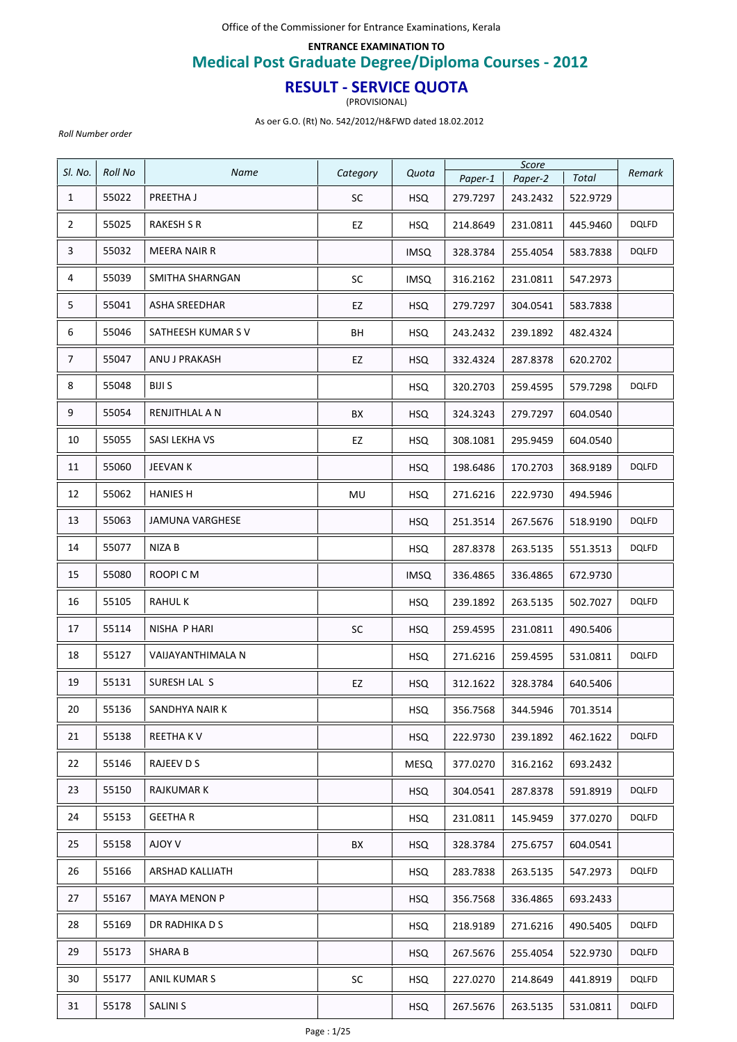Office of the Commissioner for Entrance Examinations, Kerala

## **Medical Post Graduate Degree/Diploma Courses ‐ 2012 ENTRANCE EXAMINATION TO**

## **RESULT ‐ SERVICE QUOTA**

(PROVISIONAL)

As oer G.O. (Rt) No. 542/2012/H&FWD dated 18.02.2012

*Roll Number order*

| SI. No.        | <b>Roll No</b> |                     |           |             |          | Score    |          |              |
|----------------|----------------|---------------------|-----------|-------------|----------|----------|----------|--------------|
|                |                | Name                | Category  | Quota       | Paper-1  | Paper-2  | Total    | Remark       |
| $\mathbf{1}$   | 55022          | PREETHA J           | <b>SC</b> | <b>HSQ</b>  | 279.7297 | 243.2432 | 522.9729 |              |
| $\mathbf{2}$   | 55025          | <b>RAKESH S R</b>   | EZ        | <b>HSQ</b>  | 214.8649 | 231.0811 | 445.9460 | <b>DQLFD</b> |
| 3              | 55032          | <b>MEERA NAIR R</b> |           | <b>IMSQ</b> | 328.3784 | 255.4054 | 583.7838 | <b>DQLFD</b> |
| 4              | 55039          | SMITHA SHARNGAN     | SC        | <b>IMSQ</b> | 316.2162 | 231.0811 | 547.2973 |              |
| 5              | 55041          | ASHA SREEDHAR       | EZ        | HSQ.        | 279.7297 | 304.0541 | 583.7838 |              |
| 6              | 55046          | SATHEESH KUMAR S V  | BH        | <b>HSQ</b>  | 243.2432 | 239.1892 | 482.4324 |              |
| $\overline{7}$ | 55047          | ANU J PRAKASH       | EZ        | <b>HSQ</b>  | 332.4324 | 287.8378 | 620.2702 |              |
| 8              | 55048          | BIJI S              |           | <b>HSQ</b>  | 320.2703 | 259.4595 | 579.7298 | <b>DQLFD</b> |
| 9              | 55054          | RENJITHLAL A N      | BX        | <b>HSQ</b>  | 324.3243 | 279.7297 | 604.0540 |              |
| 10             | 55055          | SASI LEKHA VS       | EZ        | <b>HSQ</b>  | 308.1081 | 295.9459 | 604.0540 |              |
| 11             | 55060          | JEEVAN K            |           | <b>HSQ</b>  | 198.6486 | 170.2703 | 368.9189 | <b>DQLFD</b> |
| 12             | 55062          | HANIES H            | MU        | <b>HSQ</b>  | 271.6216 | 222.9730 | 494.5946 |              |
| 13             | 55063          | JAMUNA VARGHESE     |           | <b>HSQ</b>  | 251.3514 | 267.5676 | 518.9190 | <b>DQLFD</b> |
| 14             | 55077          | NIZA B              |           | <b>HSQ</b>  | 287.8378 | 263.5135 | 551.3513 | <b>DQLFD</b> |
| 15             | 55080          | ROOPI C M           |           | <b>IMSQ</b> | 336.4865 | 336.4865 | 672.9730 |              |
| 16             | 55105          | <b>RAHULK</b>       |           | <b>HSQ</b>  | 239.1892 | 263.5135 | 502.7027 | <b>DQLFD</b> |
| 17             | 55114          | NISHA P HARI        | SC        | <b>HSQ</b>  | 259.4595 | 231.0811 | 490.5406 |              |
| 18             | 55127          | VAIJAYANTHIMALA N   |           | <b>HSQ</b>  | 271.6216 | 259.4595 | 531.0811 | <b>DQLFD</b> |
| 19             | 55131          | SURESH LAL S        | EZ        | <b>HSQ</b>  | 312.1622 | 328.3784 | 640.5406 |              |
| 20             | 55136          | SANDHYA NAIR K      |           | <b>HSQ</b>  | 356.7568 | 344.5946 | 701.3514 |              |
| 21             | 55138          | REETHA KV           |           | <b>HSQ</b>  | 222.9730 | 239.1892 | 462.1622 | <b>DQLFD</b> |
| 22             | 55146          | RAJEEV D S          |           | <b>MESQ</b> | 377.0270 | 316.2162 | 693.2432 |              |
| 23             | 55150          | RAJKUMAR K          |           | <b>HSQ</b>  | 304.0541 | 287.8378 | 591.8919 | <b>DQLFD</b> |
| 24             | 55153          | <b>GEETHAR</b>      |           | <b>HSQ</b>  | 231.0811 | 145.9459 | 377.0270 | <b>DQLFD</b> |
| 25             | 55158          | <b>AJOY V</b>       | BX        | <b>HSQ</b>  | 328.3784 | 275.6757 | 604.0541 |              |
| 26             | 55166          | ARSHAD KALLIATH     |           | <b>HSQ</b>  | 283.7838 | 263.5135 | 547.2973 | <b>DQLFD</b> |
| 27             | 55167          | <b>MAYA MENON P</b> |           | <b>HSQ</b>  | 356.7568 | 336.4865 | 693.2433 |              |
| 28             | 55169          | DR RADHIKA D S      |           | <b>HSQ</b>  | 218.9189 | 271.6216 | 490.5405 | <b>DQLFD</b> |
| 29             | 55173          | <b>SHARA B</b>      |           | <b>HSQ</b>  | 267.5676 | 255.4054 | 522.9730 | <b>DQLFD</b> |
| 30             | 55177          | ANIL KUMAR S        | SC        | <b>HSQ</b>  | 227.0270 | 214.8649 | 441.8919 | <b>DQLFD</b> |
| 31             | 55178          | <b>SALINI S</b>     |           | <b>HSQ</b>  | 267.5676 | 263.5135 | 531.0811 | <b>DQLFD</b> |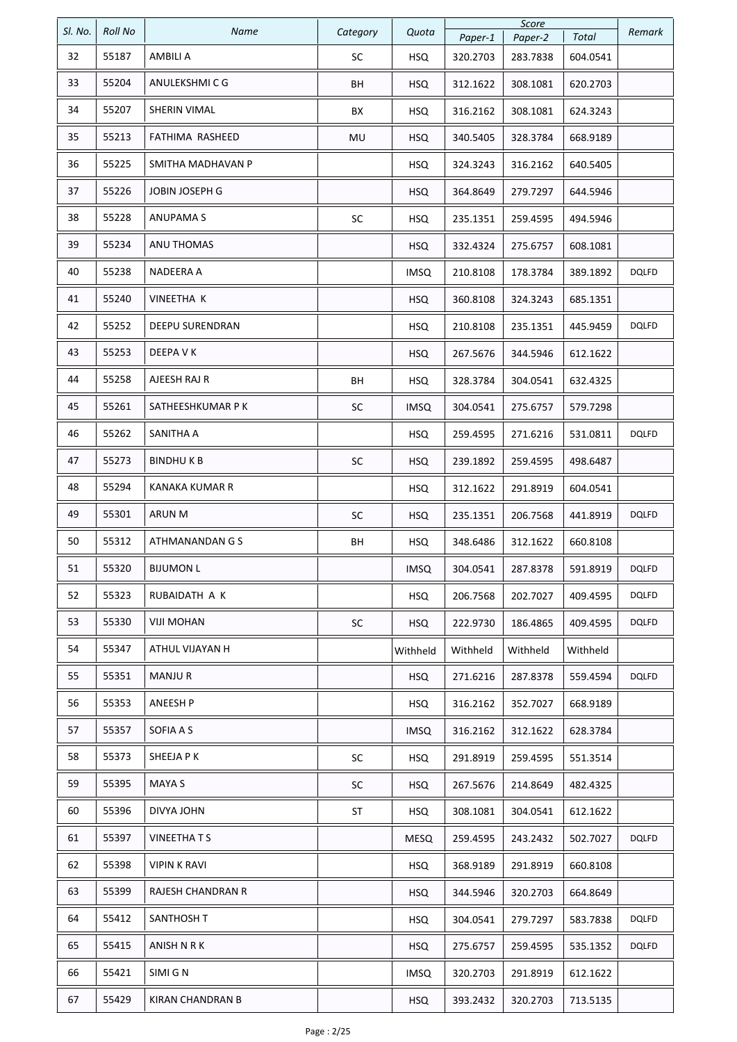|         |                |                   |           |             |          | Score    |          |              |
|---------|----------------|-------------------|-----------|-------------|----------|----------|----------|--------------|
| SI. No. | <b>Roll No</b> | Name              | Category  | Quota       | Paper-1  | Paper-2  | Total    | Remark       |
| 32      | 55187          | AMBILI A          | SC        | <b>HSQ</b>  | 320.2703 | 283.7838 | 604.0541 |              |
| 33      | 55204          | ANULEKSHMI C G    | BH        | <b>HSQ</b>  | 312.1622 | 308.1081 | 620.2703 |              |
| 34      | 55207          | SHERIN VIMAL      | ВX        | <b>HSQ</b>  | 316.2162 | 308.1081 | 624.3243 |              |
| 35      | 55213          | FATHIMA RASHEED   | MU        | <b>HSQ</b>  | 340.5405 | 328.3784 | 668.9189 |              |
| 36      | 55225          | SMITHA MADHAVAN P |           | <b>HSQ</b>  | 324.3243 | 316.2162 | 640.5405 |              |
| 37      | 55226          | JOBIN JOSEPH G    |           | <b>HSQ</b>  | 364.8649 | 279.7297 | 644.5946 |              |
| 38      | 55228          | <b>ANUPAMAS</b>   | SC        | <b>HSQ</b>  | 235.1351 | 259.4595 | 494.5946 |              |
| 39      | 55234          | ANU THOMAS        |           | <b>HSQ</b>  | 332.4324 | 275.6757 | 608.1081 |              |
| 40      | 55238          | NADEERA A         |           | <b>IMSQ</b> | 210.8108 | 178.3784 | 389.1892 | DQLFD        |
| 41      | 55240          | VINEETHA K        |           | <b>HSQ</b>  | 360.8108 | 324.3243 | 685.1351 |              |
| 42      | 55252          | DEEPU SURENDRAN   |           | <b>HSQ</b>  | 210.8108 | 235.1351 | 445.9459 | <b>DQLFD</b> |
| 43      | 55253          | DEEPA V K         |           | <b>HSQ</b>  | 267.5676 | 344.5946 | 612.1622 |              |
| 44      | 55258          | AJEESH RAJ R      | BH        | <b>HSQ</b>  | 328.3784 | 304.0541 | 632.4325 |              |
| 45      | 55261          | SATHEESHKUMAR P K | SC        | <b>IMSQ</b> | 304.0541 | 275.6757 | 579.7298 |              |
| 46      | 55262          | SANITHA A         |           | <b>HSQ</b>  | 259.4595 | 271.6216 | 531.0811 | DQLFD        |
| 47      | 55273          | BINDHU K B        | SC        | <b>HSQ</b>  | 239.1892 | 259.4595 | 498.6487 |              |
| 48      | 55294          | KANAKA KUMAR R    |           | <b>HSQ</b>  | 312.1622 | 291.8919 | 604.0541 |              |
| 49      | 55301          | ARUN M            | SC        | <b>HSQ</b>  | 235.1351 | 206.7568 | 441.8919 | <b>DQLFD</b> |
| 50      | 55312          | ATHMANANDAN G S   | BH        | <b>HSQ</b>  | 348.6486 | 312.1622 | 660.8108 |              |
| 51      | 55320          | <b>BIJUMON L</b>  |           | <b>IMSQ</b> | 304.0541 | 287.8378 | 591.8919 | <b>DQLFD</b> |
| 52      | 55323          | RUBAIDATH A K     |           | <b>HSQ</b>  | 206.7568 | 202.7027 | 409.4595 | <b>DQLFD</b> |
| 53      | 55330          | <b>VIJI MOHAN</b> | SC        | <b>HSQ</b>  | 222.9730 | 186.4865 | 409.4595 | <b>DQLFD</b> |
| 54      | 55347          | ATHUL VIJAYAN H   |           | Withheld    | Withheld | Withheld | Withheld |              |
| 55      | 55351          | <b>MANJUR</b>     |           | <b>HSQ</b>  | 271.6216 | 287.8378 | 559.4594 | <b>DQLFD</b> |
| 56      | 55353          | ANEESH P          |           | <b>HSQ</b>  | 316.2162 | 352.7027 | 668.9189 |              |
| 57      | 55357          | SOFIA A S         |           | <b>IMSQ</b> | 316.2162 | 312.1622 | 628.3784 |              |
| 58      | 55373          | SHEEJA P K        | SC        | <b>HSQ</b>  | 291.8919 | 259.4595 | 551.3514 |              |
| 59      | 55395          | <b>MAYA S</b>     | <b>SC</b> | <b>HSQ</b>  | 267.5676 | 214.8649 | 482.4325 |              |
| 60      | 55396          | DIVYA JOHN        | ST        | HSQ         | 308.1081 | 304.0541 | 612.1622 |              |
| 61      | 55397          | VINEETHA T S      |           | <b>MESQ</b> | 259.4595 | 243.2432 | 502.7027 | <b>DQLFD</b> |
| 62      | 55398          | VIPIN K RAVI      |           | <b>HSQ</b>  | 368.9189 | 291.8919 | 660.8108 |              |
| 63      | 55399          | RAJESH CHANDRAN R |           | <b>HSQ</b>  | 344.5946 | 320.2703 | 664.8649 |              |
| 64      | 55412          | SANTHOSH T        |           | <b>HSQ</b>  | 304.0541 | 279.7297 | 583.7838 | <b>DQLFD</b> |
| 65      | 55415          | ANISH N R K       |           | <b>HSQ</b>  | 275.6757 | 259.4595 | 535.1352 | <b>DQLFD</b> |
| 66      | 55421          | SIMI G N          |           | <b>IMSQ</b> | 320.2703 | 291.8919 | 612.1622 |              |
| 67      | 55429          | KIRAN CHANDRAN B  |           | <b>HSQ</b>  | 393.2432 | 320.2703 | 713.5135 |              |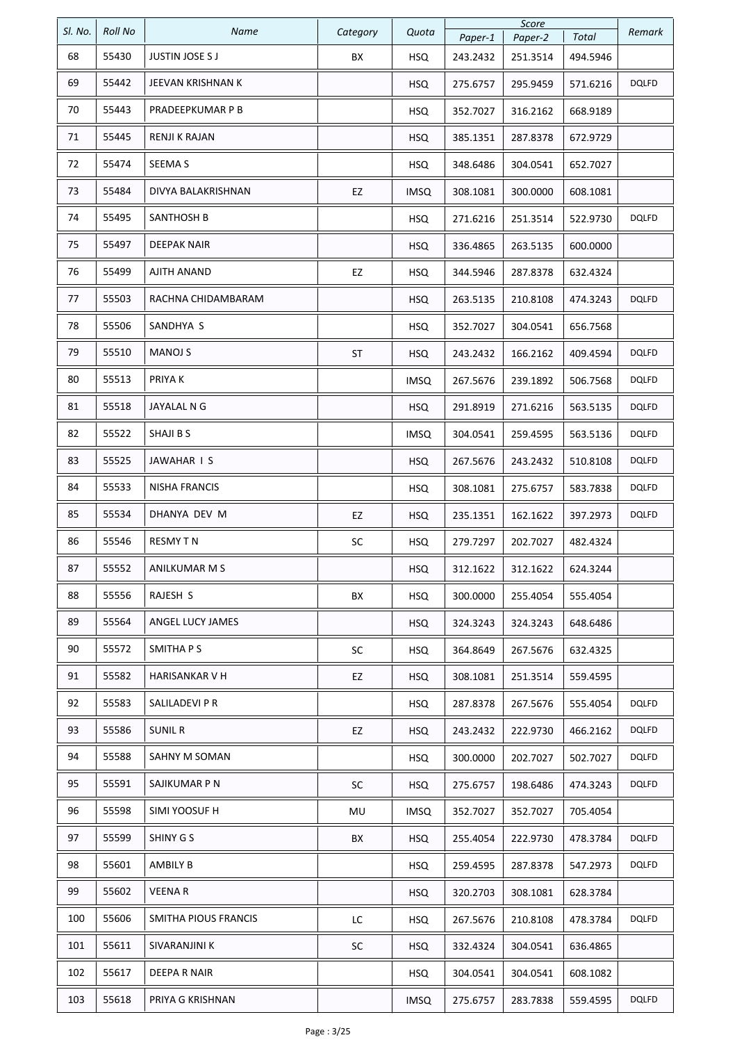| SI. No. | <b>Roll No</b> | <b>Name</b>            | Category  | Quota       | Paper-1  | Score<br>Paper-2 | Total    | Remark       |
|---------|----------------|------------------------|-----------|-------------|----------|------------------|----------|--------------|
| 68      | 55430          | <b>JUSTIN JOSE S J</b> | BX        | <b>HSQ</b>  | 243.2432 | 251.3514         | 494.5946 |              |
| 69      | 55442          | JEEVAN KRISHNAN K      |           | <b>HSQ</b>  | 275.6757 | 295.9459         | 571.6216 | <b>DQLFD</b> |
| 70      | 55443          | PRADEEPKUMAR P B       |           | <b>HSQ</b>  | 352.7027 | 316.2162         | 668.9189 |              |
| 71      | 55445          | <b>RENJI K RAJAN</b>   |           | <b>HSQ</b>  | 385.1351 | 287.8378         | 672.9729 |              |
| 72      | 55474          | SEEMA S                |           | <b>HSQ</b>  | 348.6486 | 304.0541         | 652.7027 |              |
| 73      | 55484          | DIVYA BALAKRISHNAN     | EZ        | <b>IMSQ</b> | 308.1081 | 300.0000         | 608.1081 |              |
| 74      | 55495          | <b>SANTHOSH B</b>      |           | <b>HSQ</b>  | 271.6216 | 251.3514         | 522.9730 | DQLFD        |
| 75      | 55497          | DEEPAK NAIR            |           | <b>HSQ</b>  | 336.4865 | 263.5135         | 600.0000 |              |
| 76      | 55499          | AJITH ANAND            | EZ        | <b>HSQ</b>  | 344.5946 | 287.8378         | 632.4324 |              |
| 77      | 55503          | RACHNA CHIDAMBARAM     |           | <b>HSQ</b>  | 263.5135 | 210.8108         | 474.3243 | DQLFD        |
| 78      | 55506          | SANDHYA S              |           | <b>HSQ</b>  | 352.7027 | 304.0541         | 656.7568 |              |
| 79      | 55510          | <b>MANOJ S</b>         | ST        | <b>HSQ</b>  | 243.2432 | 166.2162         | 409.4594 | <b>DQLFD</b> |
| 80      | 55513          | PRIYA K                |           | <b>IMSQ</b> | 267.5676 | 239.1892         | 506.7568 | <b>DQLFD</b> |
| 81      | 55518          | JAYALAL N G            |           | <b>HSQ</b>  | 291.8919 | 271.6216         | 563.5135 | DQLFD        |
| 82      | 55522          | SHAJI B S              |           | <b>IMSQ</b> | 304.0541 | 259.4595         | 563.5136 | DQLFD        |
| 83      | 55525          | JAWAHAR I S            |           | <b>HSQ</b>  | 267.5676 | 243.2432         | 510.8108 | <b>DQLFD</b> |
| 84      | 55533          | <b>NISHA FRANCIS</b>   |           | <b>HSQ</b>  | 308.1081 | 275.6757         | 583.7838 | DQLFD        |
| 85      | 55534          | DHANYA DEV M           | EZ        | <b>HSQ</b>  | 235.1351 | 162.1622         | 397.2973 | <b>DQLFD</b> |
| 86      | 55546          | <b>RESMY TN</b>        | SC        | <b>HSQ</b>  | 279.7297 | 202.7027         | 482.4324 |              |
| 87      | 55552          | ANILKUMAR M S          |           | <b>HSQ</b>  | 312.1622 | 312.1622         | 624.3244 |              |
| 88      | 55556          | RAJESH S               | BX        | <b>HSQ</b>  | 300.0000 | 255.4054         | 555.4054 |              |
| 89      | 55564          | ANGEL LUCY JAMES       |           | <b>HSQ</b>  | 324.3243 | 324.3243         | 648.6486 |              |
| 90      | 55572          | SMITHA P S             | SC        | <b>HSQ</b>  | 364.8649 | 267.5676         | 632.4325 |              |
| 91      | 55582          | HARISANKAR V H         | EZ        | <b>HSQ</b>  | 308.1081 | 251.3514         | 559.4595 |              |
| 92      | 55583          | SALILADEVI P R         |           | <b>HSQ</b>  | 287.8378 | 267.5676         | 555.4054 | <b>DQLFD</b> |
| 93      | 55586          | <b>SUNIL R</b>         | EZ        | <b>HSQ</b>  | 243.2432 | 222.9730         | 466.2162 | <b>DQLFD</b> |
| 94      | 55588          | SAHNY M SOMAN          |           | <b>HSQ</b>  | 300.0000 | 202.7027         | 502.7027 | <b>DQLFD</b> |
| 95      | 55591          | SAJIKUMAR P N          | <b>SC</b> | <b>HSQ</b>  | 275.6757 | 198.6486         | 474.3243 | <b>DQLFD</b> |
| 96      | 55598          | SIMI YOOSUF H          | MU        | <b>IMSQ</b> | 352.7027 | 352.7027         | 705.4054 |              |
| 97      | 55599          | SHINY G S              | BX        | <b>HSQ</b>  | 255.4054 | 222.9730         | 478.3784 | <b>DQLFD</b> |
| 98      | 55601          | <b>AMBILY B</b>        |           | <b>HSQ</b>  | 259.4595 | 287.8378         | 547.2973 | DQLFD        |
| 99      | 55602          | <b>VEENAR</b>          |           | <b>HSQ</b>  | 320.2703 | 308.1081         | 628.3784 |              |
| 100     | 55606          | SMITHA PIOUS FRANCIS   | LC        | <b>HSQ</b>  | 267.5676 | 210.8108         | 478.3784 | <b>DQLFD</b> |
| 101     | 55611          | SIVARANJINI K          | SC        | <b>HSQ</b>  | 332.4324 | 304.0541         | 636.4865 |              |
| 102     | 55617          | DEEPA R NAIR           |           | <b>HSQ</b>  | 304.0541 | 304.0541         | 608.1082 |              |
| 103     | 55618          | PRIYA G KRISHNAN       |           | <b>IMSQ</b> | 275.6757 | 283.7838         | 559.4595 | DQLFD        |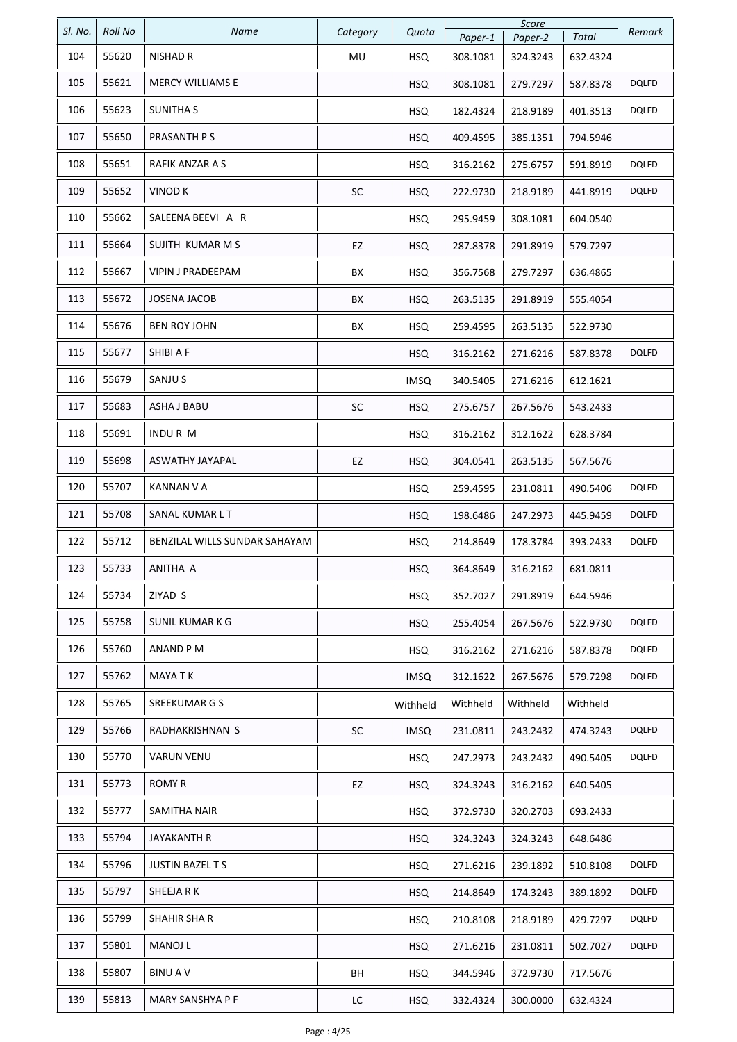|         |                |                               |          |             |          | Score    |          |              |
|---------|----------------|-------------------------------|----------|-------------|----------|----------|----------|--------------|
| SI. No. | <b>Roll No</b> | Name                          | Category | Quota       | Paper-1  | Paper-2  | Total    | Remark       |
| 104     | 55620          | NISHAD R                      | MU       | <b>HSQ</b>  | 308.1081 | 324.3243 | 632.4324 |              |
| 105     | 55621          | <b>MERCY WILLIAMS E</b>       |          | <b>HSQ</b>  | 308.1081 | 279.7297 | 587.8378 | <b>DQLFD</b> |
| 106     | 55623          | SUNITHA S                     |          | <b>HSQ</b>  | 182.4324 | 218.9189 | 401.3513 | DQLFD        |
| 107     | 55650          | PRASANTH P S                  |          | <b>HSQ</b>  | 409.4595 | 385.1351 | 794.5946 |              |
| 108     | 55651          | RAFIK ANZAR A S               |          | <b>HSQ</b>  | 316.2162 | 275.6757 | 591.8919 | <b>DQLFD</b> |
| 109     | 55652          | <b>VINOD K</b>                | SC       | <b>HSQ</b>  | 222.9730 | 218.9189 | 441.8919 | <b>DQLFD</b> |
| 110     | 55662          | SALEENA BEEVI A R             |          | <b>HSQ</b>  | 295.9459 | 308.1081 | 604.0540 |              |
| 111     | 55664          | SUJITH KUMAR M S              | EZ       | <b>HSQ</b>  | 287.8378 | 291.8919 | 579.7297 |              |
| 112     | 55667          | <b>VIPIN J PRADEEPAM</b>      | BX       | <b>HSQ</b>  | 356.7568 | 279.7297 | 636.4865 |              |
| 113     | 55672          | <b>JOSENA JACOB</b>           | BX       | <b>HSQ</b>  | 263.5135 | 291.8919 | 555.4054 |              |
| 114     | 55676          | <b>BEN ROY JOHN</b>           | BX       | <b>HSQ</b>  | 259.4595 | 263.5135 | 522.9730 |              |
| 115     | 55677          | SHIBI A F                     |          | <b>HSQ</b>  | 316.2162 | 271.6216 | 587.8378 | <b>DQLFD</b> |
| 116     | 55679          | SANJU S                       |          | <b>IMSQ</b> | 340.5405 | 271.6216 | 612.1621 |              |
| 117     | 55683          | ASHA J BABU                   | SC       | <b>HSQ</b>  | 275.6757 | 267.5676 | 543.2433 |              |
| 118     | 55691          | INDUR M                       |          | <b>HSQ</b>  | 316.2162 | 312.1622 | 628.3784 |              |
| 119     | 55698          | ASWATHY JAYAPAL               | EZ       | <b>HSQ</b>  | 304.0541 | 263.5135 | 567.5676 |              |
| 120     | 55707          | <b>KANNAN V A</b>             |          | <b>HSQ</b>  | 259.4595 | 231.0811 | 490.5406 | <b>DQLFD</b> |
| 121     | 55708          | SANAL KUMAR L T               |          | <b>HSQ</b>  | 198.6486 | 247.2973 | 445.9459 | <b>DQLFD</b> |
| 122     | 55712          | BENZILAL WILLS SUNDAR SAHAYAM |          | <b>HSQ</b>  | 214.8649 | 178.3784 | 393.2433 | <b>DQLFD</b> |
| 123     | 55733          | ANITHA A                      |          | <b>HSQ</b>  | 364.8649 | 316.2162 | 681.0811 |              |
| 124     | 55734          | ZIYAD S                       |          | <b>HSQ</b>  | 352.7027 | 291.8919 | 644.5946 |              |
| 125     | 55758          | SUNIL KUMAR K G               |          | <b>HSQ</b>  | 255.4054 | 267.5676 | 522.9730 | <b>DQLFD</b> |
| 126     | 55760          | ANAND P M                     |          | <b>HSQ</b>  | 316.2162 | 271.6216 | 587.8378 | <b>DQLFD</b> |
| 127     | 55762          | MAYA T K                      |          | <b>IMSQ</b> | 312.1622 | 267.5676 | 579.7298 | <b>DQLFD</b> |
| 128     | 55765          | SREEKUMAR G S                 |          | Withheld    | Withheld | Withheld | Withheld |              |
| 129     | 55766          | RADHAKRISHNAN S               | SC       | <b>IMSQ</b> | 231.0811 | 243.2432 | 474.3243 | <b>DQLFD</b> |
| 130     | 55770          | <b>VARUN VENU</b>             |          | <b>HSQ</b>  | 247.2973 | 243.2432 | 490.5405 | <b>DQLFD</b> |
| 131     | 55773          | <b>ROMY R</b>                 | EZ       | <b>HSQ</b>  | 324.3243 | 316.2162 | 640.5405 |              |
| 132     | 55777          | SAMITHA NAIR                  |          | HSQ         | 372.9730 | 320.2703 | 693.2433 |              |
| 133     | 55794          | <b>JAYAKANTH R</b>            |          | HSQ         | 324.3243 | 324.3243 | 648.6486 |              |
| 134     | 55796          | <b>JUSTIN BAZEL T S</b>       |          | <b>HSQ</b>  | 271.6216 | 239.1892 | 510.8108 | <b>DQLFD</b> |
| 135     | 55797          | SHEEJA R K                    |          | <b>HSQ</b>  | 214.8649 | 174.3243 | 389.1892 | <b>DQLFD</b> |
| 136     | 55799          | SHAHIR SHA R                  |          | <b>HSQ</b>  | 210.8108 | 218.9189 | 429.7297 | <b>DQLFD</b> |
|         |                | <b>MANOJ L</b>                |          | <b>HSQ</b>  | 271.6216 | 231.0811 | 502.7027 | <b>DQLFD</b> |
| 137     | 55801          |                               |          |             |          |          |          |              |
| 138     | 55807          | <b>BINUAV</b>                 | BH       | <b>HSQ</b>  | 344.5946 | 372.9730 | 717.5676 |              |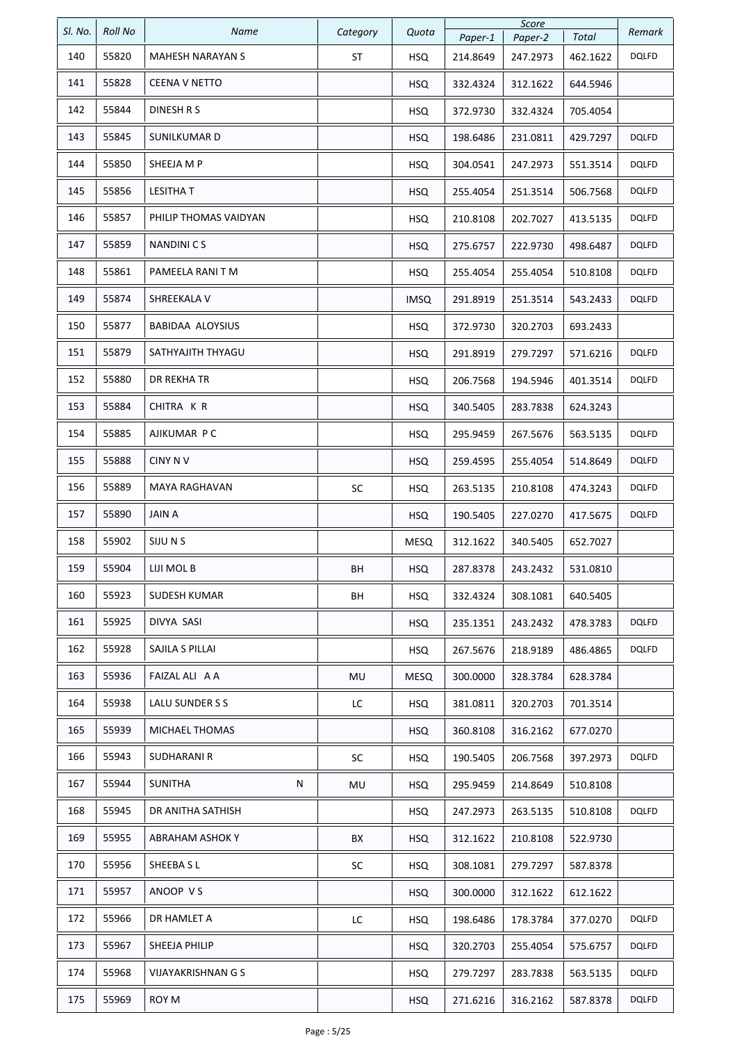| SI. No. | <b>Roll No</b> | <b>Name</b>             | Category | Quota       | Paper-1  | Score<br>Paper-2 | Total    | Remark       |
|---------|----------------|-------------------------|----------|-------------|----------|------------------|----------|--------------|
| 140     | 55820          | <b>MAHESH NARAYAN S</b> | ST       | <b>HSQ</b>  | 214.8649 | 247.2973         | 462.1622 | <b>DQLFD</b> |
| 141     | 55828          | CEENA V NETTO           |          | <b>HSQ</b>  | 332.4324 | 312.1622         | 644.5946 |              |
| 142     | 55844          | DINESH R S              |          | <b>HSQ</b>  | 372.9730 | 332.4324         | 705.4054 |              |
| 143     | 55845          | SUNILKUMAR D            |          | <b>HSQ</b>  | 198.6486 | 231.0811         | 429.7297 | <b>DQLFD</b> |
| 144     | 55850          | SHEEJA M P              |          | <b>HSQ</b>  | 304.0541 | 247.2973         | 551.3514 | <b>DQLFD</b> |
| 145     | 55856          | <b>LESITHAT</b>         |          | <b>HSQ</b>  | 255.4054 | 251.3514         | 506.7568 | <b>DQLFD</b> |
| 146     | 55857          | PHILIP THOMAS VAIDYAN   |          | <b>HSQ</b>  | 210.8108 | 202.7027         | 413.5135 | <b>DQLFD</b> |
| 147     | 55859          | <b>NANDINICS</b>        |          | <b>HSQ</b>  | 275.6757 | 222.9730         | 498.6487 | <b>DQLFD</b> |
| 148     | 55861          | PAMEELA RANI T M        |          | <b>HSQ</b>  | 255.4054 | 255.4054         | 510.8108 | <b>DQLFD</b> |
| 149     | 55874          | SHREEKALA V             |          | <b>IMSQ</b> | 291.8919 | 251.3514         | 543.2433 | <b>DQLFD</b> |
| 150     | 55877          | BABIDAA ALOYSIUS        |          | <b>HSQ</b>  | 372.9730 | 320.2703         | 693.2433 |              |
| 151     | 55879          | SATHYAJITH THYAGU       |          | <b>HSQ</b>  | 291.8919 | 279.7297         | 571.6216 | <b>DQLFD</b> |
| 152     | 55880          | DR REKHA TR             |          | <b>HSQ</b>  | 206.7568 | 194.5946         | 401.3514 | <b>DQLFD</b> |
| 153     | 55884          | CHITRA K R              |          | <b>HSQ</b>  | 340.5405 | 283.7838         | 624.3243 |              |
| 154     | 55885          | AJIKUMAR PC             |          | <b>HSQ</b>  | 295.9459 | 267.5676         | 563.5135 | <b>DQLFD</b> |
| 155     | 55888          | <b>CINY NV</b>          |          | <b>HSQ</b>  | 259.4595 | 255.4054         | 514.8649 | <b>DQLFD</b> |
| 156     | 55889          | MAYA RAGHAVAN           | SC       | <b>HSQ</b>  | 263.5135 | 210.8108         | 474.3243 | <b>DQLFD</b> |
| 157     | 55890          | <b>JAIN A</b>           |          | <b>HSQ</b>  | 190.5405 | 227.0270         | 417.5675 | <b>DQLFD</b> |
| 158     | 55902          | SIJU N S                |          | <b>MESQ</b> | 312.1622 | 340.5405         | 652.7027 |              |
| 159     | 55904          | LIJI MOL B              | ВH       | <b>HSQ</b>  | 287.8378 | 243.2432         | 531.0810 |              |
| 160     | 55923          | <b>SUDESH KUMAR</b>     | BH       | <b>HSQ</b>  | 332.4324 | 308.1081         | 640.5405 |              |
| 161     | 55925          | DIVYA SASI              |          | <b>HSQ</b>  | 235.1351 | 243.2432         | 478.3783 | <b>DQLFD</b> |
| 162     | 55928          | SAJILA S PILLAI         |          | <b>HSQ</b>  | 267.5676 | 218.9189         | 486.4865 | <b>DQLFD</b> |
| 163     | 55936          | FAIZAL ALI A A          | MU       | MESQ        | 300.0000 | 328.3784         | 628.3784 |              |
| 164     | 55938          | LALU SUNDER S S         | LC       | HSQ.        | 381.0811 | 320.2703         | 701.3514 |              |
| 165     | 55939          | MICHAEL THOMAS          |          | <b>HSQ</b>  | 360.8108 | 316.2162         | 677.0270 |              |
| 166     | 55943          | <b>SUDHARANI R</b>      | SC       | <b>HSQ</b>  | 190.5405 | 206.7568         | 397.2973 | <b>DQLFD</b> |
| 167     | 55944          | <b>SUNITHA</b><br>N     | MU       | <b>HSQ</b>  | 295.9459 | 214.8649         | 510.8108 |              |
| 168     | 55945          | DR ANITHA SATHISH       |          | <b>HSQ</b>  | 247.2973 | 263.5135         | 510.8108 | <b>DQLFD</b> |
| 169     | 55955          | ABRAHAM ASHOK Y         | BX       | <b>HSQ</b>  | 312.1622 | 210.8108         | 522.9730 |              |
| 170     | 55956          | SHEEBA SL               | SC       | <b>HSQ</b>  | 308.1081 | 279.7297         | 587.8378 |              |
| 171     | 55957          | ANOOP VS                |          | <b>HSQ</b>  | 300.0000 | 312.1622         | 612.1622 |              |
| 172     | 55966          | DR HAMLET A             | LC       | <b>HSQ</b>  | 198.6486 | 178.3784         | 377.0270 | <b>DQLFD</b> |
| 173     | 55967          | SHEEJA PHILIP           |          | <b>HSQ</b>  | 320.2703 | 255.4054         | 575.6757 | <b>DQLFD</b> |
| 174     | 55968          | VIJAYAKRISHNAN G S      |          | <b>HSQ</b>  | 279.7297 | 283.7838         | 563.5135 | <b>DQLFD</b> |
| 175     | 55969          | ROY M                   |          | <b>HSQ</b>  | 271.6216 | 316.2162         | 587.8378 | <b>DQLFD</b> |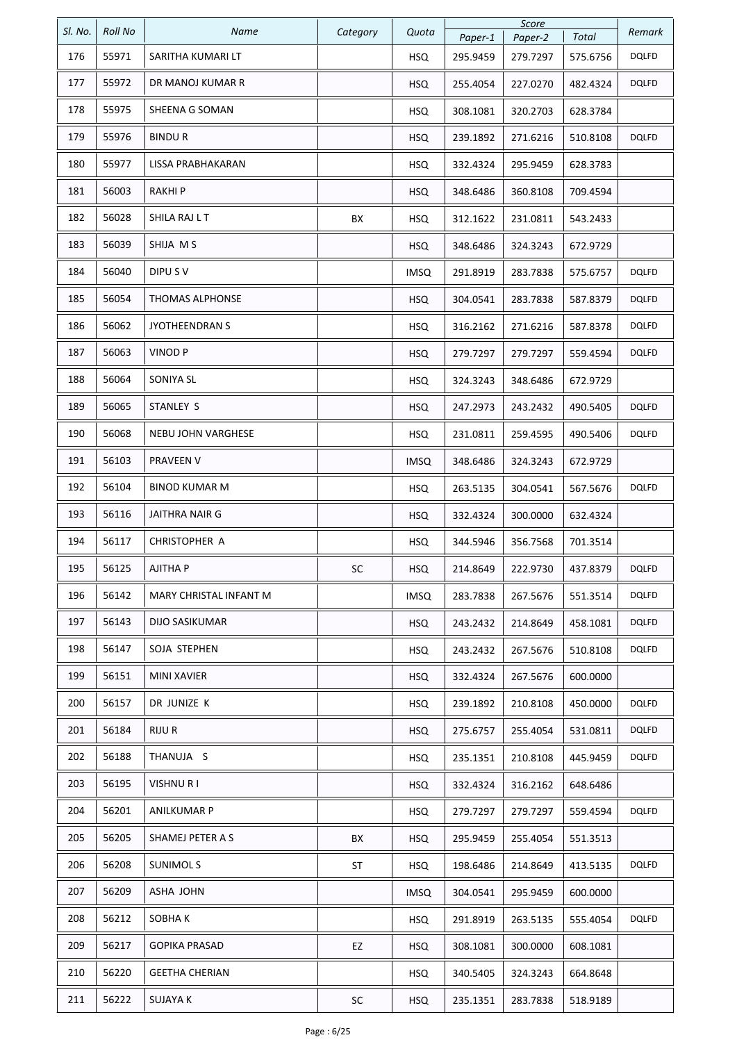| SI. No. | <b>Roll No</b> | Name                   | Category   | Quota       |                     | Score               |                   | Remark       |
|---------|----------------|------------------------|------------|-------------|---------------------|---------------------|-------------------|--------------|
| 176     | 55971          | SARITHA KUMARI LT      |            | <b>HSQ</b>  | Paper-1<br>295.9459 | Paper-2<br>279.7297 | Total<br>575.6756 | <b>DQLFD</b> |
| 177     | 55972          | DR MANOJ KUMAR R       |            | <b>HSQ</b>  | 255.4054            | 227.0270            | 482.4324          | <b>DQLFD</b> |
| 178     | 55975          | SHEENA G SOMAN         |            | <b>HSQ</b>  | 308.1081            | 320.2703            | 628.3784          |              |
| 179     | 55976          | <b>BINDUR</b>          |            | <b>HSQ</b>  | 239.1892            | 271.6216            | 510.8108          | <b>DQLFD</b> |
| 180     | 55977          | LISSA PRABHAKARAN      |            | <b>HSQ</b>  | 332.4324            | 295.9459            | 628.3783          |              |
| 181     | 56003          | <b>RAKHIP</b>          |            | <b>HSQ</b>  | 348.6486            | 360.8108            | 709.4594          |              |
| 182     | 56028          | SHILA RAJ L T          | BX         | <b>HSQ</b>  | 312.1622            | 231.0811            | 543.2433          |              |
| 183     | 56039          | SHIJA MS               |            | <b>HSQ</b>  | 348.6486            | 324.3243            | 672.9729          |              |
| 184     | 56040          | DIPU S V               |            | <b>IMSQ</b> | 291.8919            | 283.7838            | 575.6757          | DQLFD        |
| 185     | 56054          | THOMAS ALPHONSE        |            | <b>HSQ</b>  | 304.0541            | 283.7838            | 587.8379          | <b>DQLFD</b> |
| 186     | 56062          | JYOTHEENDRAN S         |            | <b>HSQ</b>  | 316.2162            | 271.6216            | 587.8378          | <b>DQLFD</b> |
| 187     | 56063          | <b>VINOD P</b>         |            | <b>HSQ</b>  | 279.7297            | 279.7297            | 559.4594          | <b>DQLFD</b> |
| 188     | 56064          | SONIYA SL              |            | <b>HSQ</b>  | 324.3243            | 348.6486            | 672.9729          |              |
| 189     | 56065          | STANLEY S              |            | <b>HSQ</b>  | 247.2973            | 243.2432            | 490.5405          | <b>DQLFD</b> |
| 190     | 56068          | NEBU JOHN VARGHESE     |            | <b>HSQ</b>  | 231.0811            | 259.4595            | 490.5406          | DQLFD        |
| 191     | 56103          | <b>PRAVEEN V</b>       |            | <b>IMSQ</b> | 348.6486            | 324.3243            | 672.9729          |              |
| 192     | 56104          | <b>BINOD KUMAR M</b>   |            | <b>HSQ</b>  | 263.5135            | 304.0541            | 567.5676          | DQLFD        |
| 193     | 56116          | JAITHRA NAIR G         |            | <b>HSQ</b>  | 332.4324            | 300.0000            | 632.4324          |              |
| 194     | 56117          | CHRISTOPHER A          |            | <b>HSQ</b>  | 344.5946            | 356.7568            | 701.3514          |              |
| 195     | 56125          | AJITHA P               | SC         | <b>HSQ</b>  | 214.8649            | 222.9730            | 437.8379          | <b>DQLFD</b> |
| 196     | 56142          | MARY CHRISTAL INFANT M |            | <b>IMSQ</b> | 283.7838            | 267.5676            | 551.3514          | <b>DQLFD</b> |
| 197     | 56143          | DIJO SASIKUMAR         |            | <b>HSQ</b>  | 243.2432            | 214.8649            | 458.1081          | <b>DQLFD</b> |
| 198     | 56147          | SOJA STEPHEN           |            | <b>HSQ</b>  | 243.2432            | 267.5676            | 510.8108          | DQLFD        |
| 199     | 56151          | MINI XAVIER            |            | HSQ         | 332.4324            | 267.5676            | 600.0000          |              |
| 200     | 56157          | DR JUNIZE K            |            | HSQ         | 239.1892            | 210.8108            | 450.0000          | <b>DQLFD</b> |
| 201     | 56184          | riju r                 |            | <b>HSQ</b>  | 275.6757            | 255.4054            | 531.0811          | <b>DQLFD</b> |
| 202     | 56188          | THANUJA S              |            | <b>HSQ</b>  | 235.1351            | 210.8108            | 445.9459          | DQLFD        |
| 203     | 56195          | VISHNU R I             |            | <b>HSQ</b>  | 332.4324            | 316.2162            | 648.6486          |              |
| 204     | 56201          | ANILKUMAR P            |            | HSQ         | 279.7297            | 279.7297            | 559.4594          | <b>DQLFD</b> |
| 205     | 56205          | SHAMEJ PETER A S       | BX         | HSQ         | 295.9459            | 255.4054            | 551.3513          |              |
| 206     | 56208          | <b>SUNIMOLS</b>        | ST         | <b>HSQ</b>  | 198.6486            | 214.8649            | 413.5135          | <b>DQLFD</b> |
| 207     | 56209          | ASHA JOHN              |            | <b>IMSQ</b> | 304.0541            | 295.9459            | 600.0000          |              |
| 208     | 56212          | SOBHAK                 |            | <b>HSQ</b>  | 291.8919            | 263.5135            | 555.4054          | DQLFD        |
| 209     | 56217          | <b>GOPIKA PRASAD</b>   | EZ         | <b>HSQ</b>  | 308.1081            | 300.0000            | 608.1081          |              |
| 210     | 56220          | <b>GEETHA CHERIAN</b>  |            | <b>HSQ</b>  | 340.5405            | 324.3243            | 664.8648          |              |
| 211     | 56222          | <b>SUJAYA K</b>        | ${\sf SC}$ | HSQ         | 235.1351            | 283.7838            | 518.9189          |              |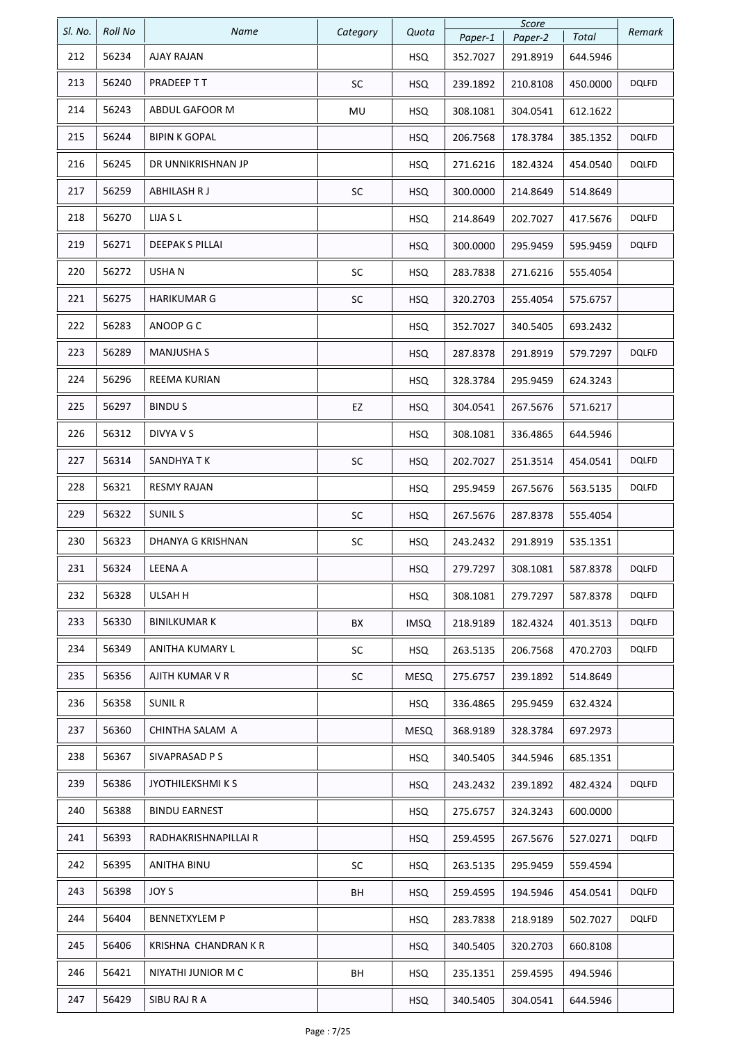| SI. No. | <b>Roll No</b> | Name                   | Category  | Quota       | Paper-1  | Score<br>Paper-2 | Total    | Remark       |
|---------|----------------|------------------------|-----------|-------------|----------|------------------|----------|--------------|
| 212     | 56234          | <b>AJAY RAJAN</b>      |           | <b>HSQ</b>  | 352.7027 | 291.8919         | 644.5946 |              |
| 213     | 56240          | PRADEEP T T            | SC        | <b>HSQ</b>  | 239.1892 | 210.8108         | 450.0000 | <b>DQLFD</b> |
| 214     | 56243          | ABDUL GAFOOR M         | MU        | <b>HSQ</b>  | 308.1081 | 304.0541         | 612.1622 |              |
| 215     | 56244          | <b>BIPIN K GOPAL</b>   |           | <b>HSQ</b>  | 206.7568 | 178.3784         | 385.1352 | <b>DQLFD</b> |
| 216     | 56245          | DR UNNIKRISHNAN JP     |           | <b>HSQ</b>  | 271.6216 | 182.4324         | 454.0540 | <b>DQLFD</b> |
| 217     | 56259          | ABHILASH R J           | SC        | <b>HSQ</b>  | 300.0000 | 214.8649         | 514.8649 |              |
| 218     | 56270          | LIJA S L               |           | <b>HSQ</b>  | 214.8649 | 202.7027         | 417.5676 | <b>DQLFD</b> |
| 219     | 56271          | <b>DEEPAK S PILLAI</b> |           | <b>HSQ</b>  | 300.0000 | 295.9459         | 595.9459 | <b>DQLFD</b> |
| 220     | 56272          | USHA N                 | SC        | <b>HSQ</b>  | 283.7838 | 271.6216         | 555.4054 |              |
| 221     | 56275          | <b>HARIKUMAR G</b>     | SC        | <b>HSQ</b>  | 320.2703 | 255.4054         | 575.6757 |              |
| 222     | 56283          | ANOOP G C              |           | <b>HSQ</b>  | 352.7027 | 340.5405         | 693.2432 |              |
| 223     | 56289          | <b>MANJUSHA S</b>      |           | <b>HSQ</b>  | 287.8378 | 291.8919         | 579.7297 | <b>DQLFD</b> |
| 224     | 56296          | REEMA KURIAN           |           | <b>HSQ</b>  | 328.3784 | 295.9459         | 624.3243 |              |
| 225     | 56297          | <b>BINDUS</b>          | EZ        | <b>HSQ</b>  | 304.0541 | 267.5676         | 571.6217 |              |
| 226     | 56312          | DIVYA V S              |           | <b>HSQ</b>  | 308.1081 | 336.4865         | 644.5946 |              |
| 227     | 56314          | SANDHYA TK             | <b>SC</b> | <b>HSQ</b>  | 202.7027 | 251.3514         | 454.0541 | <b>DQLFD</b> |
| 228     | 56321          | <b>RESMY RAJAN</b>     |           | <b>HSQ</b>  | 295.9459 | 267.5676         | 563.5135 | DQLFD        |
| 229     | 56322          | <b>SUNILS</b>          | SC        | <b>HSQ</b>  | 267.5676 | 287.8378         | 555.4054 |              |
| 230     | 56323          | DHANYA G KRISHNAN      | SC        | <b>HSQ</b>  | 243.2432 | 291.8919         | 535.1351 |              |
| 231     | 56324          | LEENA A                |           | <b>HSQ</b>  | 279.7297 | 308.1081         | 587.8378 | <b>DQLFD</b> |
| 232     | 56328          | ULSAH H                |           | <b>HSQ</b>  | 308.1081 | 279.7297         | 587.8378 | <b>DQLFD</b> |
| 233     | 56330          | BINILKUMAR K           | BX        | <b>IMSQ</b> | 218.9189 | 182.4324         | 401.3513 | <b>DQLFD</b> |
| 234     | 56349          | ANITHA KUMARY L        | SC        | <b>HSQ</b>  | 263.5135 | 206.7568         | 470.2703 | DQLFD        |
| 235     | 56356          | AJITH KUMAR V R        | SC        | <b>MESQ</b> | 275.6757 | 239.1892         | 514.8649 |              |
| 236     | 56358          | <b>SUNIL R</b>         |           | HSQ.        | 336.4865 | 295.9459         | 632.4324 |              |
| 237     | 56360          | CHINTHA SALAM A        |           | <b>MESQ</b> | 368.9189 | 328.3784         | 697.2973 |              |
| 238     | 56367          | SIVAPRASAD P S         |           | <b>HSQ</b>  | 340.5405 | 344.5946         | 685.1351 |              |
| 239     | 56386          | JYOTHILEKSHMI K S      |           | <b>HSQ</b>  | 243.2432 | 239.1892         | 482.4324 | <b>DQLFD</b> |
| 240     | 56388          | <b>BINDU EARNEST</b>   |           | <b>HSQ</b>  | 275.6757 | 324.3243         | 600.0000 |              |
| 241     | 56393          | RADHAKRISHNAPILLAI R   |           | HSQ         | 259.4595 | 267.5676         | 527.0271 | DQLFD        |
| 242     | 56395          | ANITHA BINU            | SC        | <b>HSQ</b>  | 263.5135 | 295.9459         | 559.4594 |              |
| 243     | 56398          | JOY S                  | BH        | <b>HSQ</b>  | 259.4595 | 194.5946         | 454.0541 | <b>DQLFD</b> |
| 244     | 56404          | <b>BENNETXYLEM P</b>   |           | <b>HSQ</b>  | 283.7838 | 218.9189         | 502.7027 | DQLFD        |
| 245     | 56406          | KRISHNA CHANDRAN K R   |           | <b>HSQ</b>  | 340.5405 | 320.2703         | 660.8108 |              |
| 246     | 56421          | NIYATHI JUNIOR M C     | BН        | <b>HSQ</b>  | 235.1351 | 259.4595         | 494.5946 |              |
| 247     | 56429          | SIBU RAJ R A           |           | <b>HSQ</b>  | 340.5405 | 304.0541         | 644.5946 |              |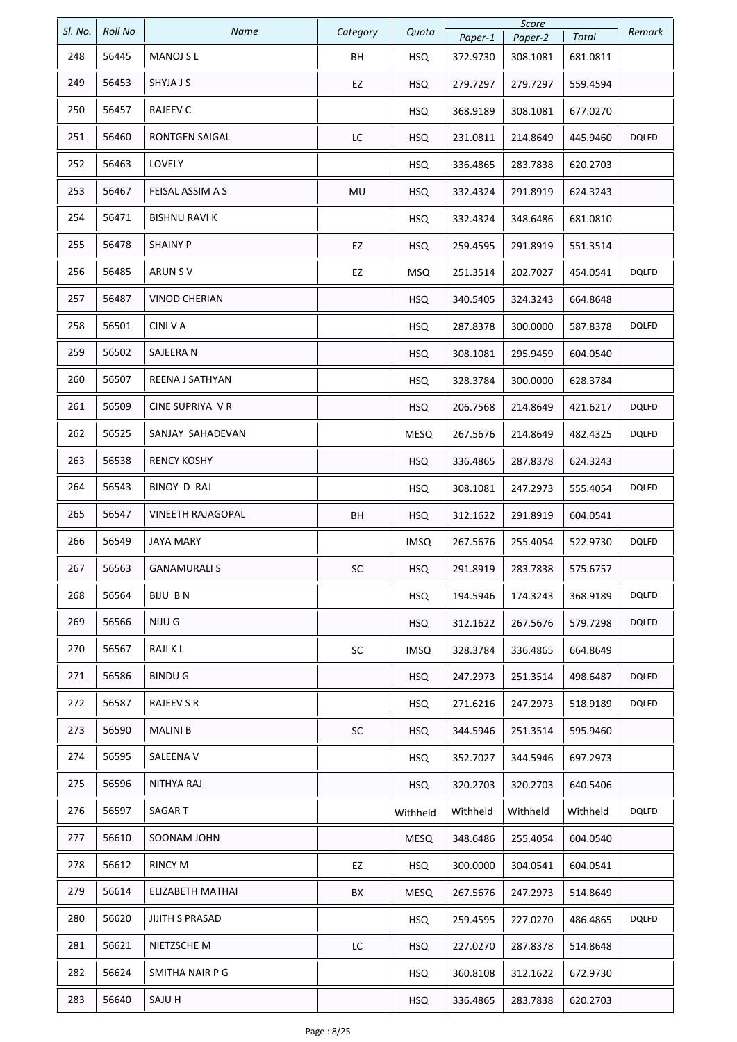| SI. No. | <b>Roll No</b> | <b>Name</b>              | Category   | Quota       |                     | Score               |                          | Remark       |
|---------|----------------|--------------------------|------------|-------------|---------------------|---------------------|--------------------------|--------------|
| 248     | 56445          | MANOJ S L                | ВH         | <b>HSQ</b>  | Paper-1<br>372.9730 | Paper-2<br>308.1081 | <b>Total</b><br>681.0811 |              |
| 249     | 56453          | <b>SHYJA J S</b>         | EZ         | <b>HSQ</b>  | 279.7297            | 279.7297            | 559.4594                 |              |
| 250     | 56457          | <b>RAJEEV C</b>          |            | HSQ.        | 368.9189            | 308.1081            | 677.0270                 |              |
| 251     | 56460          | RONTGEN SAIGAL           | LC         | <b>HSQ</b>  | 231.0811            | 214.8649            | 445.9460                 | <b>DQLFD</b> |
| 252     | 56463          | <b>LOVELY</b>            |            | <b>HSQ</b>  | 336.4865            | 283.7838            | 620.2703                 |              |
| 253     | 56467          | FEISAL ASSIM A S         | MU         | <b>HSQ</b>  | 332.4324            | 291.8919            | 624.3243                 |              |
| 254     | 56471          | <b>BISHNU RAVI K</b>     |            | <b>HSQ</b>  | 332.4324            | 348.6486            | 681.0810                 |              |
| 255     | 56478          | <b>SHAINY P</b>          | EZ         | <b>HSQ</b>  | 259.4595            | 291.8919            | 551.3514                 |              |
| 256     | 56485          | ARUN SV                  | EZ         | <b>MSQ</b>  | 251.3514            | 202.7027            | 454.0541                 | <b>DQLFD</b> |
| 257     | 56487          | VINOD CHERIAN            |            | <b>HSQ</b>  | 340.5405            | 324.3243            | 664.8648                 |              |
| 258     | 56501          | CINI V A                 |            | <b>HSQ</b>  | 287.8378            | 300.0000            | 587.8378                 | <b>DQLFD</b> |
| 259     | 56502          | SAJEERA N                |            | <b>HSQ</b>  | 308.1081            | 295.9459            | 604.0540                 |              |
| 260     | 56507          | REENA J SATHYAN          |            | <b>HSQ</b>  | 328.3784            | 300.0000            | 628.3784                 |              |
| 261     | 56509          | CINE SUPRIYA V R         |            | <b>HSQ</b>  | 206.7568            | 214.8649            | 421.6217                 | <b>DQLFD</b> |
| 262     | 56525          | SANJAY SAHADEVAN         |            | <b>MESQ</b> | 267.5676            | 214.8649            | 482.4325                 | DQLFD        |
| 263     | 56538          | <b>RENCY KOSHY</b>       |            | <b>HSQ</b>  | 336.4865            | 287.8378            | 624.3243                 |              |
| 264     | 56543          | BINOY D RAJ              |            | <b>HSQ</b>  | 308.1081            | 247.2973            | 555.4054                 | <b>DQLFD</b> |
| 265     | 56547          | <b>VINEETH RAJAGOPAL</b> | BH         | <b>HSQ</b>  | 312.1622            | 291.8919            | 604.0541                 |              |
| 266     | 56549          | <b>JAYA MARY</b>         |            | <b>IMSQ</b> | 267.5676            | 255.4054            | 522.9730                 | <b>DQLFD</b> |
| 267     | 56563          | <b>GANAMURALI S</b>      | ${\sf SC}$ | <b>HSQ</b>  | 291.8919            | 283.7838            | 575.6757                 |              |
| 268     | 56564          | <b>BIJU BN</b>           |            | <b>HSQ</b>  | 194.5946            | 174.3243            | 368.9189                 | <b>DQLFD</b> |
| 269     | 56566          | NIJU G                   |            | <b>HSQ</b>  | 312.1622            | 267.5676            | 579.7298                 | <b>DQLFD</b> |
| 270     | 56567          | RAJI K L                 | SC         | <b>IMSQ</b> | 328.3784            | 336.4865            | 664.8649                 |              |
| 271     | 56586          | <b>BINDU G</b>           |            | <b>HSQ</b>  | 247.2973            | 251.3514            | 498.6487                 | <b>DQLFD</b> |
| 272     | 56587          | RAJEEV S R               |            | <b>HSQ</b>  | 271.6216            | 247.2973            | 518.9189                 | <b>DQLFD</b> |
| 273     | 56590          | <b>MALINI B</b>          | SC         | <b>HSQ</b>  | 344.5946            | 251.3514            | 595.9460                 |              |
| 274     | 56595          | SALEENA V                |            | <b>HSQ</b>  | 352.7027            | 344.5946            | 697.2973                 |              |
| 275     | 56596          | NITHYA RAJ               |            | <b>HSQ</b>  | 320.2703            | 320.2703            | 640.5406                 |              |
| 276     | 56597          | SAGAR T                  |            | Withheld    | Withheld            | Withheld            | Withheld                 | DQLFD        |
| 277     | 56610          | SOONAM JOHN              |            | <b>MESQ</b> | 348.6486            | 255.4054            | 604.0540                 |              |
| 278     | 56612          | RINCY M                  | EZ         | HSQ         | 300.0000            | 304.0541            | 604.0541                 |              |
| 279     | 56614          | ELIZABETH MATHAI         | BX         | MESQ        | 267.5676            | 247.2973            | 514.8649                 |              |
| 280     | 56620          | <b>JIJITH S PRASAD</b>   |            | HSQ         | 259.4595            | 227.0270            | 486.4865                 | <b>DQLFD</b> |
| 281     | 56621          | NIETZSCHE M              | LC         | <b>HSQ</b>  | 227.0270            | 287.8378            | 514.8648                 |              |
| 282     | 56624          | SMITHA NAIR P G          |            | <b>HSQ</b>  | 360.8108            | 312.1622            | 672.9730                 |              |
| 283     | 56640          | SAJU H                   |            | HSQ         | 336.4865            | 283.7838            | 620.2703                 |              |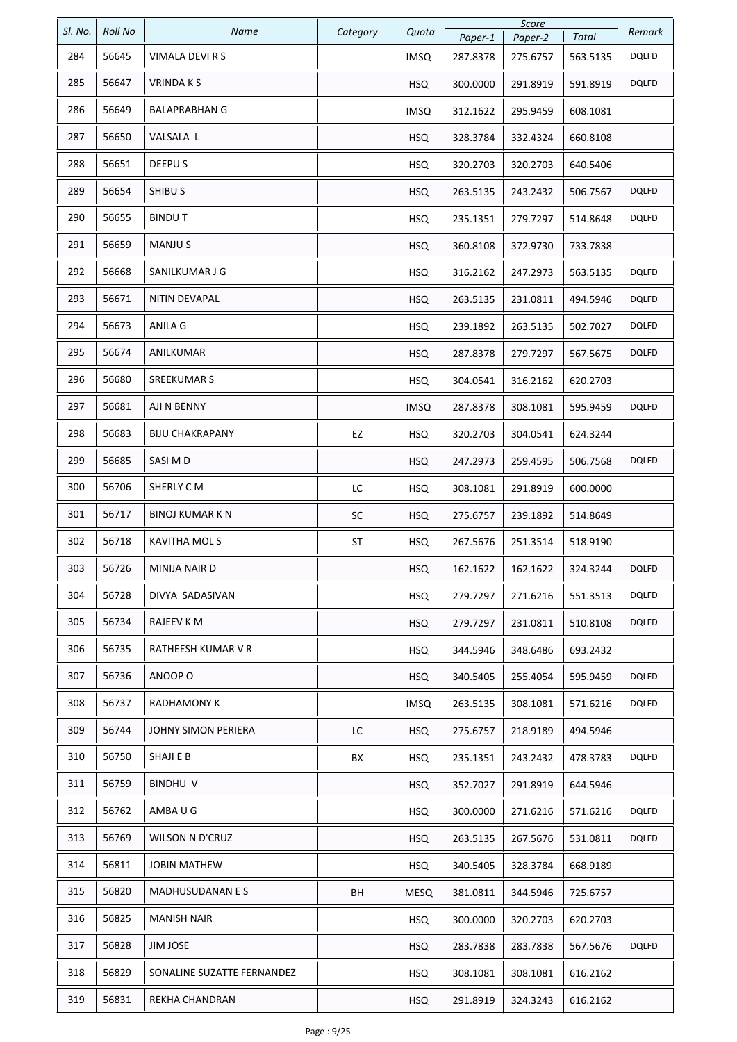| SI. No. | <b>Roll No</b> | Name                       | Category | Quota       |          | Score    |          | Remark       |
|---------|----------------|----------------------------|----------|-------------|----------|----------|----------|--------------|
|         |                |                            |          |             | Paper-1  | Paper-2  | Total    |              |
| 284     | 56645          | VIMALA DEVI R S            |          | <b>IMSQ</b> | 287.8378 | 275.6757 | 563.5135 | DQLFD        |
| 285     | 56647          | VRINDA K S                 |          | <b>HSQ</b>  | 300.0000 | 291.8919 | 591.8919 | <b>DQLFD</b> |
| 286     | 56649          | <b>BALAPRABHAN G</b>       |          | <b>IMSQ</b> | 312.1622 | 295.9459 | 608.1081 |              |
| 287     | 56650          | VALSALA L                  |          | <b>HSQ</b>  | 328.3784 | 332.4324 | 660.8108 |              |
| 288     | 56651          | DEEPU S                    |          | <b>HSQ</b>  | 320.2703 | 320.2703 | 640.5406 |              |
| 289     | 56654          | SHIBU S                    |          | <b>HSQ</b>  | 263.5135 | 243.2432 | 506.7567 | <b>DQLFD</b> |
| 290     | 56655          | <b>BINDUT</b>              |          | <b>HSQ</b>  | 235.1351 | 279.7297 | 514.8648 | DQLFD        |
| 291     | 56659          | MANJU S                    |          | <b>HSQ</b>  | 360.8108 | 372.9730 | 733.7838 |              |
| 292     | 56668          | SANILKUMAR J G             |          | <b>HSQ</b>  | 316.2162 | 247.2973 | 563.5135 | DQLFD        |
| 293     | 56671          | NITIN DEVAPAL              |          | <b>HSQ</b>  | 263.5135 | 231.0811 | 494.5946 | <b>DQLFD</b> |
| 294     | 56673          | ANILA G                    |          | <b>HSQ</b>  | 239.1892 | 263.5135 | 502.7027 | DQLFD        |
| 295     | 56674          | ANILKUMAR                  |          | <b>HSQ</b>  | 287.8378 | 279.7297 | 567.5675 | <b>DQLFD</b> |
| 296     | 56680          | <b>SREEKUMAR S</b>         |          | <b>HSQ</b>  | 304.0541 | 316.2162 | 620.2703 |              |
| 297     | 56681          | AJI N BENNY                |          | <b>IMSQ</b> | 287.8378 | 308.1081 | 595.9459 | <b>DQLFD</b> |
| 298     | 56683          | <b>BIJU CHAKRAPANY</b>     | EZ       | <b>HSQ</b>  | 320.2703 | 304.0541 | 624.3244 |              |
| 299     | 56685          | SASI M D                   |          | <b>HSQ</b>  | 247.2973 | 259.4595 | 506.7568 | <b>DQLFD</b> |
| 300     | 56706          | SHERLY C M                 | LC       | <b>HSQ</b>  | 308.1081 | 291.8919 | 600.0000 |              |
| 301     | 56717          | BINOJ KUMAR K N            | SC       | <b>HSQ</b>  | 275.6757 | 239.1892 | 514.8649 |              |
| 302     | 56718          | KAVITHA MOLS               | ST       | <b>HSQ</b>  | 267.5676 | 251.3514 | 518.9190 |              |
| 303     | 56726          | MINIJA NAIR D              |          | <b>HSQ</b>  | 162.1622 | 162.1622 | 324.3244 | <b>DQLFD</b> |
| 304     | 56728          | DIVYA SADASIVAN            |          | <b>HSQ</b>  | 279.7297 | 271.6216 | 551.3513 | DQLFD        |
| 305     | 56734          | RAJEEV K M                 |          | <b>HSQ</b>  | 279.7297 | 231.0811 | 510.8108 | <b>DQLFD</b> |
| 306     | 56735          | RATHEESH KUMAR V R         |          | <b>HSQ</b>  | 344.5946 | 348.6486 | 693.2432 |              |
| 307     | 56736          | ANOOP O                    |          | <b>HSQ</b>  | 340.5405 | 255.4054 | 595.9459 | DQLFD        |
| 308     | 56737          | RADHAMONY K                |          | <b>IMSQ</b> | 263.5135 | 308.1081 | 571.6216 | <b>DQLFD</b> |
| 309     | 56744          | JOHNY SIMON PERIERA        | LC       | <b>HSQ</b>  | 275.6757 | 218.9189 | 494.5946 |              |
| 310     | 56750          | SHAJI E B                  | ВX       | <b>HSQ</b>  | 235.1351 | 243.2432 | 478.3783 | DQLFD        |
| 311     | 56759          | <b>BINDHU V</b>            |          | <b>HSQ</b>  | 352.7027 | 291.8919 | 644.5946 |              |
| 312     | 56762          | AMBA U G                   |          | <b>HSQ</b>  | 300.0000 | 271.6216 | 571.6216 | <b>DQLFD</b> |
| 313     | 56769          | <b>WILSON N D'CRUZ</b>     |          | <b>HSQ</b>  | 263.5135 | 267.5676 | 531.0811 | <b>DQLFD</b> |
| 314     | 56811          | <b>JOBIN MATHEW</b>        |          | HSQ         | 340.5405 | 328.3784 | 668.9189 |              |
| 315     | 56820          | <b>MADHUSUDANAN E S</b>    | BH       | <b>MESQ</b> | 381.0811 | 344.5946 | 725.6757 |              |
| 316     | 56825          | MANISH NAIR                |          | <b>HSQ</b>  | 300.0000 | 320.2703 | 620.2703 |              |
| 317     | 56828          | JIM JOSE                   |          | <b>HSQ</b>  | 283.7838 | 283.7838 | 567.5676 | DQLFD        |
| 318     | 56829          | SONALINE SUZATTE FERNANDEZ |          | <b>HSQ</b>  | 308.1081 | 308.1081 | 616.2162 |              |
| 319     | 56831          | REKHA CHANDRAN             |          | <b>HSQ</b>  | 291.8919 | 324.3243 | 616.2162 |              |
|         |                |                            |          |             |          |          |          |              |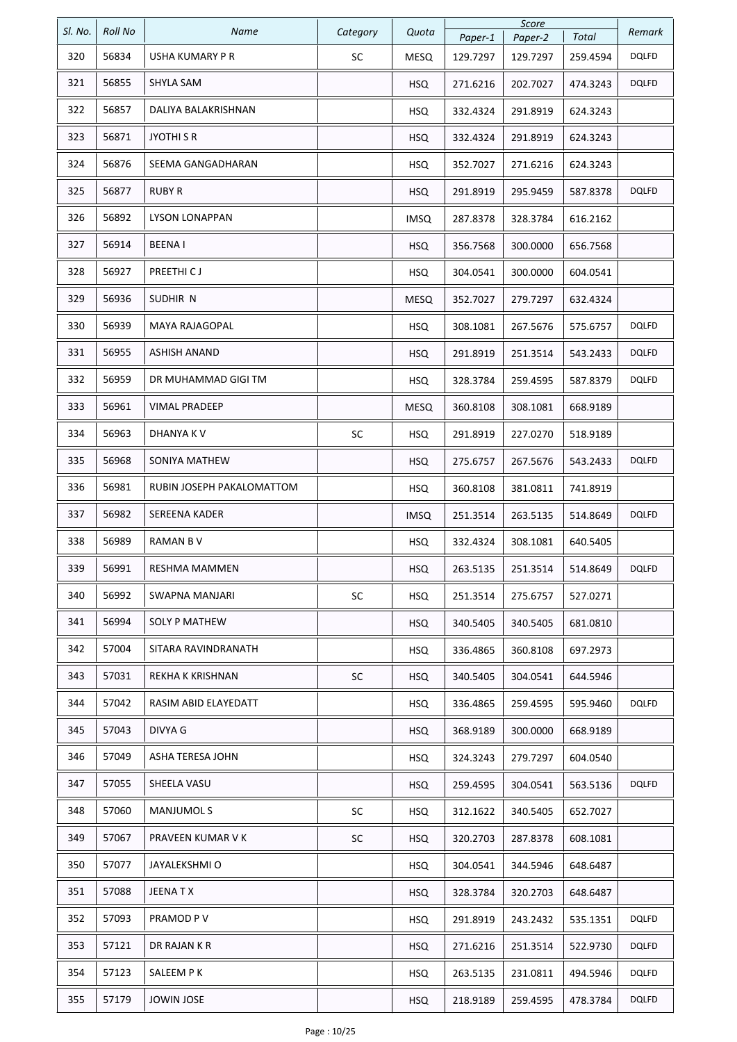|         |                |                           |           |             |          | Score    |          |              |
|---------|----------------|---------------------------|-----------|-------------|----------|----------|----------|--------------|
| SI. No. | <b>Roll No</b> | Name                      | Category  | Quota       | Paper-1  | Paper-2  | Total    | Remark       |
| 320     | 56834          | USHA KUMARY P R           | SC        | <b>MESQ</b> | 129.7297 | 129.7297 | 259.4594 | DQLFD        |
| 321     | 56855          | SHYLA SAM                 |           | <b>HSQ</b>  | 271.6216 | 202.7027 | 474.3243 | <b>DQLFD</b> |
| 322     | 56857          | DALIYA BALAKRISHNAN       |           | <b>HSQ</b>  | 332.4324 | 291.8919 | 624.3243 |              |
| 323     | 56871          | JYOTHI S R                |           | <b>HSQ</b>  | 332.4324 | 291.8919 | 624.3243 |              |
| 324     | 56876          | SEEMA GANGADHARAN         |           | <b>HSQ</b>  | 352.7027 | 271.6216 | 624.3243 |              |
| 325     | 56877          | <b>RUBY R</b>             |           | <b>HSQ</b>  | 291.8919 | 295.9459 | 587.8378 | <b>DQLFD</b> |
| 326     | 56892          | <b>LYSON LONAPPAN</b>     |           | <b>IMSQ</b> | 287.8378 | 328.3784 | 616.2162 |              |
| 327     | 56914          | BEENA I                   |           | <b>HSQ</b>  | 356.7568 | 300.0000 | 656.7568 |              |
| 328     | 56927          | PREETHI CJ                |           | <b>HSQ</b>  | 304.0541 | 300.0000 | 604.0541 |              |
| 329     | 56936          | SUDHIR N                  |           | <b>MESQ</b> | 352.7027 | 279.7297 | 632.4324 |              |
| 330     | 56939          | MAYA RAJAGOPAL            |           | <b>HSQ</b>  | 308.1081 | 267.5676 | 575.6757 | <b>DQLFD</b> |
| 331     | 56955          | <b>ASHISH ANAND</b>       |           | <b>HSQ</b>  | 291.8919 | 251.3514 | 543.2433 | <b>DQLFD</b> |
| 332     | 56959          | DR MUHAMMAD GIGI TM       |           | <b>HSQ</b>  | 328.3784 | 259.4595 | 587.8379 | DQLFD        |
| 333     | 56961          | <b>VIMAL PRADEEP</b>      |           | <b>MESQ</b> | 360.8108 | 308.1081 | 668.9189 |              |
| 334     | 56963          | DHANYA KV                 | SC        | <b>HSQ</b>  | 291.8919 | 227.0270 | 518.9189 |              |
| 335     | 56968          | SONIYA MATHEW             |           | <b>HSQ</b>  | 275.6757 | 267.5676 | 543.2433 | <b>DQLFD</b> |
| 336     | 56981          | RUBIN JOSEPH PAKALOMATTOM |           | <b>HSQ</b>  | 360.8108 | 381.0811 | 741.8919 |              |
| 337     | 56982          | <b>SEREENA KADER</b>      |           | <b>IMSQ</b> | 251.3514 | 263.5135 | 514.8649 | <b>DQLFD</b> |
| 338     | 56989          | <b>RAMAN BV</b>           |           | <b>HSQ</b>  | 332.4324 | 308.1081 | 640.5405 |              |
| 339     | 56991          | RESHMA MAMMEN             |           | <b>HSQ</b>  | 263.5135 | 251.3514 | 514.8649 | <b>DQLFD</b> |
| 340     | 56992          | SWAPNA MANJARI            | SC        | <b>HSQ</b>  | 251.3514 | 275.6757 | 527.0271 |              |
| 341     | 56994          | SOLY P MATHEW             |           | <b>HSQ</b>  | 340.5405 | 340.5405 | 681.0810 |              |
| 342     | 57004          | SITARA RAVINDRANATH       |           | <b>HSQ</b>  | 336.4865 | 360.8108 | 697.2973 |              |
| 343     | 57031          | REKHA K KRISHNAN          | SC        | <b>HSQ</b>  | 340.5405 | 304.0541 | 644.5946 |              |
| 344     | 57042          | RASIM ABID ELAYEDATT      |           | <b>HSQ</b>  | 336.4865 | 259.4595 | 595.9460 | <b>DQLFD</b> |
| 345     | 57043          | DIVYA G                   |           | <b>HSQ</b>  | 368.9189 | 300.0000 | 668.9189 |              |
| 346     | 57049          | ASHA TERESA JOHN          |           | <b>HSQ</b>  | 324.3243 | 279.7297 | 604.0540 |              |
| 347     | 57055          | SHEELA VASU               |           | <b>HSQ</b>  | 259.4595 | 304.0541 | 563.5136 | <b>DQLFD</b> |
| 348     | 57060          | MANJUMOL S                | SC        | <b>HSQ</b>  | 312.1622 | 340.5405 | 652.7027 |              |
| 349     | 57067          | PRAVEEN KUMAR V K         | <b>SC</b> | <b>HSQ</b>  | 320.2703 | 287.8378 | 608.1081 |              |
| 350     | 57077          | JAYALEKSHMI O             |           | <b>HSQ</b>  | 304.0541 | 344.5946 | 648.6487 |              |
| 351     | 57088          | JEENA T X                 |           | <b>HSQ</b>  | 328.3784 | 320.2703 | 648.6487 |              |
| 352     | 57093          | PRAMOD P V                |           | <b>HSQ</b>  | 291.8919 | 243.2432 | 535.1351 | <b>DQLFD</b> |
| 353     | 57121          | DR RAJAN K R              |           | <b>HSQ</b>  | 271.6216 | 251.3514 | 522.9730 | <b>DQLFD</b> |
| 354     | 57123          | SALEEM P K                |           | <b>HSQ</b>  | 263.5135 | 231.0811 | 494.5946 | <b>DQLFD</b> |
| 355     | 57179          | <b>JOWIN JOSE</b>         |           | <b>HSQ</b>  | 218.9189 | 259.4595 | 478.3784 | <b>DQLFD</b> |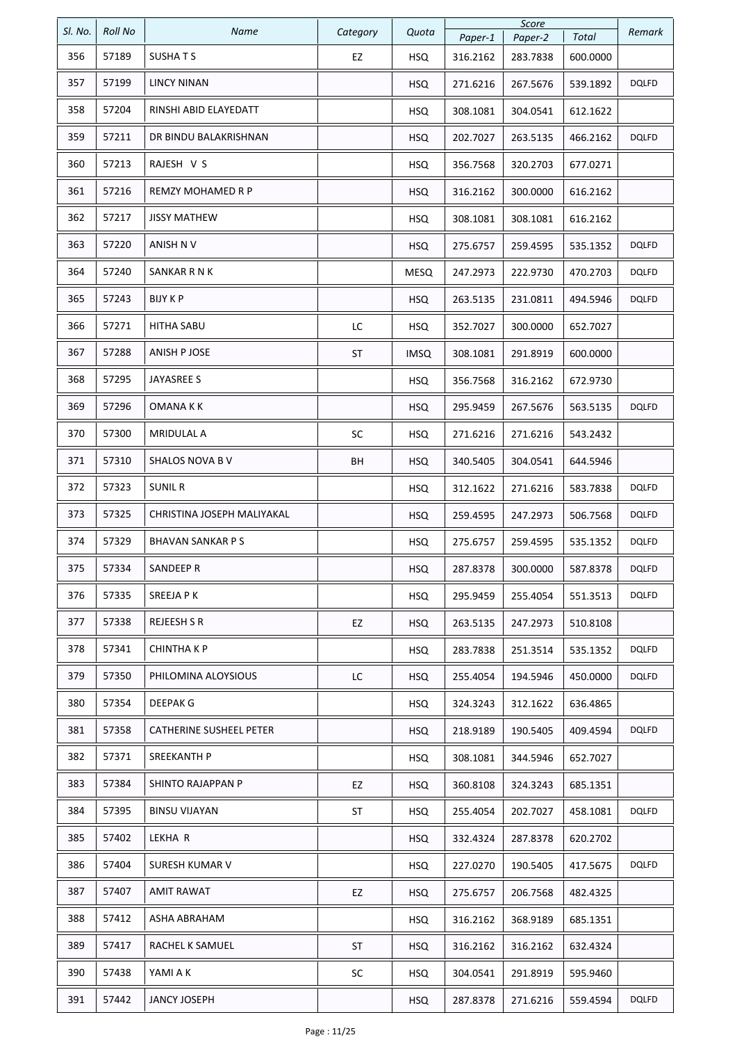|         |                |                            |           |             | Score    |          |          |              |
|---------|----------------|----------------------------|-----------|-------------|----------|----------|----------|--------------|
| SI. No. | <b>Roll No</b> | Name                       | Category  | Quota       | Paper-1  | Paper-2  | Total    | Remark       |
| 356     | 57189          | <b>SUSHATS</b>             | EZ        | <b>HSQ</b>  | 316.2162 | 283.7838 | 600.0000 |              |
| 357     | 57199          | <b>LINCY NINAN</b>         |           | <b>HSQ</b>  | 271.6216 | 267.5676 | 539.1892 | <b>DQLFD</b> |
| 358     | 57204          | RINSHI ABID ELAYEDATT      |           | <b>HSQ</b>  | 308.1081 | 304.0541 | 612.1622 |              |
| 359     | 57211          | DR BINDU BALAKRISHNAN      |           | <b>HSQ</b>  | 202.7027 | 263.5135 | 466.2162 | <b>DQLFD</b> |
| 360     | 57213          | RAJESH V S                 |           | <b>HSQ</b>  | 356.7568 | 320.2703 | 677.0271 |              |
| 361     | 57216          | REMZY MOHAMED R P          |           | <b>HSQ</b>  | 316.2162 | 300.0000 | 616.2162 |              |
| 362     | 57217          | <b>JISSY MATHEW</b>        |           | <b>HSQ</b>  | 308.1081 | 308.1081 | 616.2162 |              |
| 363     | 57220          | ANISH N V                  |           | <b>HSQ</b>  | 275.6757 | 259.4595 | 535.1352 | <b>DQLFD</b> |
| 364     | 57240          | SANKAR R N K               |           | <b>MESQ</b> | 247.2973 | 222.9730 | 470.2703 | DQLFD        |
| 365     | 57243          | <b>BIJY K P</b>            |           | <b>HSQ</b>  | 263.5135 | 231.0811 | 494.5946 | <b>DQLFD</b> |
| 366     | 57271          | <b>HITHA SABU</b>          | LC        | <b>HSQ</b>  | 352.7027 | 300.0000 | 652.7027 |              |
| 367     | 57288          | <b>ANISH P JOSE</b>        | ST        | <b>IMSQ</b> | 308.1081 | 291.8919 | 600.0000 |              |
| 368     | 57295          | <b>JAYASREE S</b>          |           | <b>HSQ</b>  | 356.7568 | 316.2162 | 672.9730 |              |
| 369     | 57296          | OMANA K K                  |           | <b>HSQ</b>  | 295.9459 | 267.5676 | 563.5135 | <b>DQLFD</b> |
| 370     | 57300          | <b>MRIDULAL A</b>          | SC        | <b>HSQ</b>  | 271.6216 | 271.6216 | 543.2432 |              |
| 371     | 57310          | SHALOS NOVA B V            | BH        | <b>HSQ</b>  | 340.5405 | 304.0541 | 644.5946 |              |
| 372     | 57323          | <b>SUNIL R</b>             |           | <b>HSQ</b>  | 312.1622 | 271.6216 | 583.7838 | DQLFD        |
| 373     | 57325          | CHRISTINA JOSEPH MALIYAKAL |           | <b>HSQ</b>  | 259.4595 | 247.2973 | 506.7568 | <b>DQLFD</b> |
| 374     | 57329          | <b>BHAVAN SANKAR PS</b>    |           | <b>HSQ</b>  | 275.6757 | 259.4595 | 535.1352 | <b>DQLFD</b> |
| 375     | 57334          | SANDEEP R                  |           | <b>HSQ</b>  | 287.8378 | 300.0000 | 587.8378 | <b>DQLFD</b> |
| 376     | 57335          | SREEJA P K                 |           | <b>HSQ</b>  | 295.9459 | 255.4054 | 551.3513 | <b>DQLFD</b> |
| 377     | 57338          | REJEESH S R                | EZ        | <b>HSQ</b>  | 263.5135 | 247.2973 | 510.8108 |              |
| 378     | 57341          | CHINTHA K P                |           | <b>HSQ</b>  | 283.7838 | 251.3514 | 535.1352 | <b>DQLFD</b> |
| 379     | 57350          | PHILOMINA ALOYSIOUS        | LC        | <b>HSQ</b>  | 255.4054 | 194.5946 | 450.0000 | <b>DQLFD</b> |
| 380     | 57354          | DEEPAK G                   |           | <b>HSQ</b>  | 324.3243 | 312.1622 | 636.4865 |              |
| 381     | 57358          | CATHERINE SUSHEEL PETER    |           | <b>HSQ</b>  | 218.9189 | 190.5405 | 409.4594 | <b>DQLFD</b> |
| 382     | 57371          | SREEKANTH P                |           | <b>HSQ</b>  | 308.1081 | 344.5946 | 652.7027 |              |
| 383     | 57384          | SHINTO RAJAPPAN P          | EZ        | <b>HSQ</b>  | 360.8108 | 324.3243 | 685.1351 |              |
| 384     | 57395          | BINSU VIJAYAN              | ST        | <b>HSQ</b>  | 255.4054 | 202.7027 | 458.1081 | <b>DQLFD</b> |
| 385     | 57402          | LEKHA R                    |           | <b>HSQ</b>  | 332.4324 | 287.8378 | 620.2702 |              |
| 386     | 57404          | SURESH KUMAR V             |           | <b>HSQ</b>  | 227.0270 | 190.5405 | 417.5675 | DQLFD        |
| 387     | 57407          | <b>AMIT RAWAT</b>          | EZ        | <b>HSQ</b>  | 275.6757 | 206.7568 | 482.4325 |              |
| 388     | 57412          | ASHA ABRAHAM               |           | <b>HSQ</b>  | 316.2162 | 368.9189 | 685.1351 |              |
| 389     | 57417          | RACHEL K SAMUEL            | <b>ST</b> | <b>HSQ</b>  | 316.2162 | 316.2162 | 632.4324 |              |
| 390     | 57438          | YAMI A K                   | SC        | <b>HSQ</b>  | 304.0541 | 291.8919 | 595.9460 |              |
| 391     | 57442          | <b>JANCY JOSEPH</b>        |           | <b>HSQ</b>  | 287.8378 | 271.6216 | 559.4594 | DQLFD        |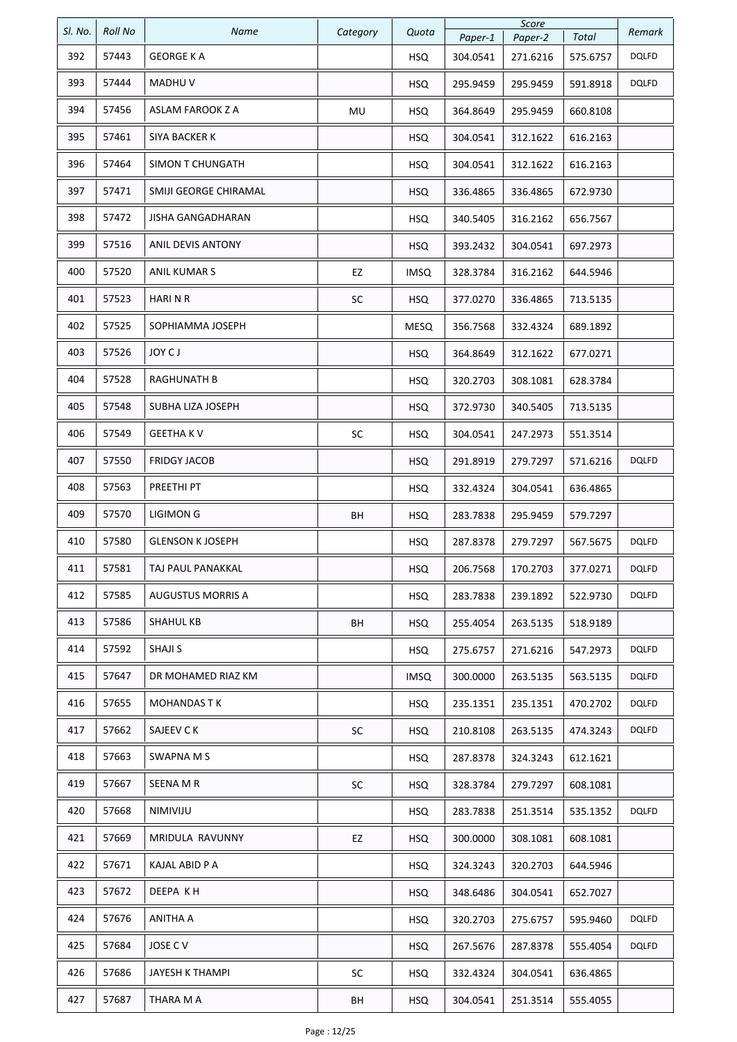|         |                |                          |          |             |          | Score    |          |              |
|---------|----------------|--------------------------|----------|-------------|----------|----------|----------|--------------|
| SI. No. | <b>Roll No</b> | <b>Name</b>              | Category | Quota       | Paper-1  | Paper-2  | Total    | Remark       |
| 392     | 57443          | <b>GEORGE KA</b>         |          | <b>HSQ</b>  | 304.0541 | 271.6216 | 575.6757 | DQLFD        |
| 393     | 57444          | <b>MADHUV</b>            |          | <b>HSQ</b>  | 295.9459 | 295.9459 | 591.8918 | <b>DQLFD</b> |
| 394     | 57456          | ASLAM FAROOK Z A         | MU       | <b>HSQ</b>  | 364.8649 | 295.9459 | 660.8108 |              |
| 395     | 57461          | SIYA BACKER K            |          | <b>HSQ</b>  | 304.0541 | 312.1622 | 616.2163 |              |
| 396     | 57464          | SIMON T CHUNGATH         |          | <b>HSQ</b>  | 304.0541 | 312.1622 | 616.2163 |              |
| 397     | 57471          | SMIJI GEORGE CHIRAMAL    |          | <b>HSQ</b>  | 336.4865 | 336.4865 | 672.9730 |              |
| 398     | 57472          | <b>JISHA GANGADHARAN</b> |          | <b>HSQ</b>  | 340.5405 | 316.2162 | 656.7567 |              |
| 399     | 57516          | ANIL DEVIS ANTONY        |          | <b>HSQ</b>  | 393.2432 | 304.0541 | 697.2973 |              |
| 400     | 57520          | <b>ANIL KUMAR S</b>      | EZ       | <b>IMSQ</b> | 328.3784 | 316.2162 | 644.5946 |              |
| 401     | 57523          | <b>HARINR</b>            | SC       | <b>HSQ</b>  | 377.0270 | 336.4865 | 713.5135 |              |
| 402     | 57525          | SOPHIAMMA JOSEPH         |          | <b>MESQ</b> | 356.7568 | 332.4324 | 689.1892 |              |
| 403     | 57526          | JOY CJ                   |          | <b>HSQ</b>  | 364.8649 | 312.1622 | 677.0271 |              |
| 404     | 57528          | <b>RAGHUNATH B</b>       |          | <b>HSQ</b>  | 320.2703 | 308.1081 | 628.3784 |              |
| 405     | 57548          | SUBHA LIZA JOSEPH        |          | <b>HSQ</b>  | 372.9730 | 340.5405 | 713.5135 |              |
| 406     | 57549          | <b>GEETHAKV</b>          | SC       | <b>HSQ</b>  | 304.0541 | 247.2973 | 551.3514 |              |
| 407     | 57550          | FRIDGY JACOB             |          | <b>HSQ</b>  | 291.8919 | 279.7297 | 571.6216 | <b>DQLFD</b> |
| 408     | 57563          | PREETHI PT               |          | <b>HSQ</b>  | 332.4324 | 304.0541 | 636.4865 |              |
| 409     | 57570          | <b>LIGIMON G</b>         | BH       | <b>HSQ</b>  | 283.7838 | 295.9459 | 579.7297 |              |
| 410     | 57580          | <b>GLENSON K JOSEPH</b>  |          | <b>HSQ</b>  | 287.8378 | 279.7297 | 567.5675 | <b>DQLFD</b> |
| 411     | 57581          | TAJ PAUL PANAKKAL        |          | <b>HSQ</b>  | 206.7568 | 170.2703 | 377.0271 | <b>DQLFD</b> |
| 412     | 57585          | <b>AUGUSTUS MORRIS A</b> |          | <b>HSQ</b>  | 283.7838 | 239.1892 | 522.9730 | <b>DQLFD</b> |
| 413     | 57586          | <b>SHAHUL KB</b>         | BH       | <b>HSQ</b>  | 255.4054 | 263.5135 | 518.9189 |              |
| 414     | 57592          | SHAJI S                  |          | <b>HSQ</b>  | 275.6757 | 271.6216 | 547.2973 | <b>DQLFD</b> |
| 415     | 57647          | DR MOHAMED RIAZ KM       |          | <b>IMSQ</b> | 300.0000 | 263.5135 | 563.5135 | <b>DQLFD</b> |
| 416     | 57655          | <b>MOHANDASTK</b>        |          | <b>HSQ</b>  | 235.1351 | 235.1351 | 470.2702 | DQLFD        |
| 417     | 57662          | SAJEEV C K               | SC       | <b>HSQ</b>  | 210.8108 | 263.5135 | 474.3243 | <b>DQLFD</b> |
| 418     | 57663          | SWAPNA M S               |          | <b>HSQ</b>  | 287.8378 | 324.3243 | 612.1621 |              |
| 419     | 57667          | SEENA M R                | SC       | <b>HSQ</b>  | 328.3784 | 279.7297 | 608.1081 |              |
| 420     | 57668          | NIMIVIJU                 |          | <b>HSQ</b>  | 283.7838 | 251.3514 | 535.1352 | <b>DQLFD</b> |
| 421     | 57669          | MRIDULA RAVUNNY          | EZ       | <b>HSQ</b>  | 300.0000 | 308.1081 | 608.1081 |              |
| 422     | 57671          | KAJAL ABID P A           |          | <b>HSQ</b>  | 324.3243 | 320.2703 | 644.5946 |              |
| 423     | 57672          | DEEPA KH                 |          | <b>HSQ</b>  | 348.6486 | 304.0541 | 652.7027 |              |
| 424     | 57676          | ANITHA A                 |          | <b>HSQ</b>  | 320.2703 | 275.6757 | 595.9460 | <b>DQLFD</b> |
| 425     | 57684          | JOSE C V                 |          | <b>HSQ</b>  | 267.5676 | 287.8378 | 555.4054 | <b>DQLFD</b> |
| 426     | 57686          | JAYESH K THAMPI          | SC       | <b>HSQ</b>  | 332.4324 | 304.0541 | 636.4865 |              |
| 427     | 57687          | THARA M A                | BH       | <b>HSQ</b>  | 304.0541 | 251.3514 | 555.4055 |              |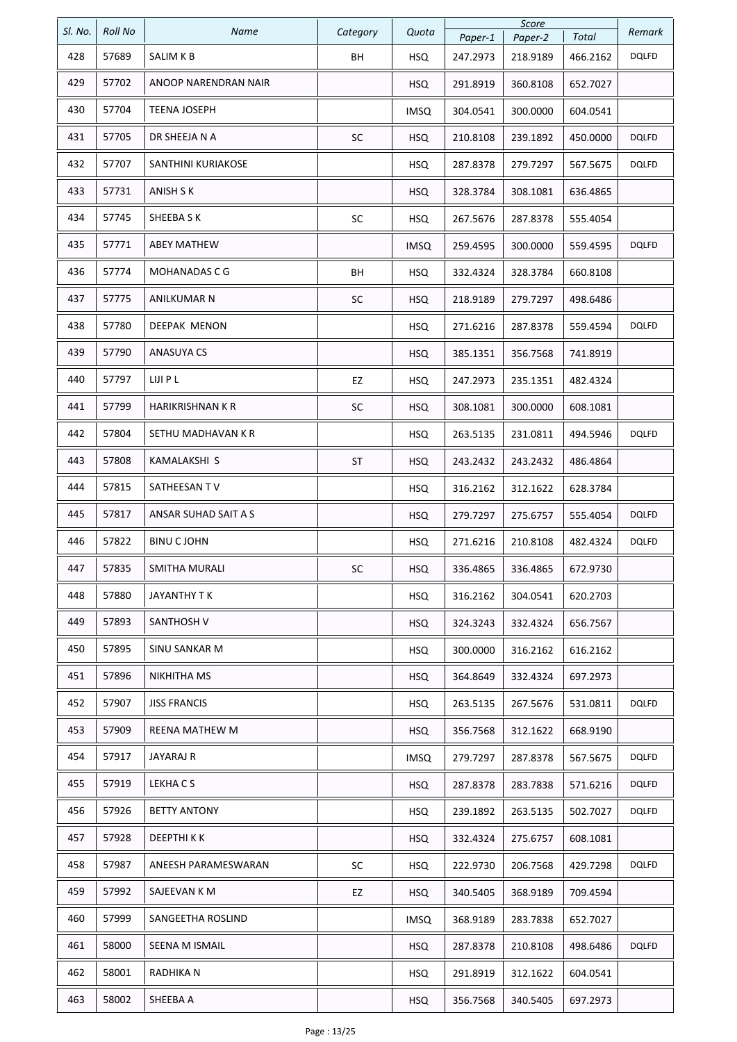|         |                |                      |           |             |          | Score    |          |              |
|---------|----------------|----------------------|-----------|-------------|----------|----------|----------|--------------|
| SI. No. | <b>Roll No</b> | Name                 | Category  | Quota       | Paper-1  | Paper-2  | Total    | Remark       |
| 428     | 57689          | SALIM K B            | BH        | <b>HSQ</b>  | 247.2973 | 218.9189 | 466.2162 | <b>DQLFD</b> |
| 429     | 57702          | ANOOP NARENDRAN NAIR |           | <b>HSQ</b>  | 291.8919 | 360.8108 | 652.7027 |              |
| 430     | 57704          | TEENA JOSEPH         |           | <b>IMSQ</b> | 304.0541 | 300.0000 | 604.0541 |              |
| 431     | 57705          | DR SHEEJA N A        | SC        | <b>HSQ</b>  | 210.8108 | 239.1892 | 450.0000 | <b>DQLFD</b> |
| 432     | 57707          | SANTHINI KURIAKOSE   |           | <b>HSQ</b>  | 287.8378 | 279.7297 | 567.5675 | <b>DQLFD</b> |
| 433     | 57731          | ANISH S K            |           | <b>HSQ</b>  | 328.3784 | 308.1081 | 636.4865 |              |
| 434     | 57745          | SHEEBA S K           | SC        | <b>HSQ</b>  | 267.5676 | 287.8378 | 555.4054 |              |
| 435     | 57771          | <b>ABEY MATHEW</b>   |           | <b>IMSQ</b> | 259.4595 | 300.0000 | 559.4595 | <b>DQLFD</b> |
| 436     | 57774          | <b>MOHANADAS C G</b> | ВH        | <b>HSQ</b>  | 332.4324 | 328.3784 | 660.8108 |              |
| 437     | 57775          | ANILKUMAR N          | SC        | <b>HSQ</b>  | 218.9189 | 279.7297 | 498.6486 |              |
| 438     | 57780          | <b>DEEPAK MENON</b>  |           | <b>HSQ</b>  | 271.6216 | 287.8378 | 559.4594 | <b>DQLFD</b> |
| 439     | 57790          | <b>ANASUYA CS</b>    |           | <b>HSQ</b>  | 385.1351 | 356.7568 | 741.8919 |              |
| 440     | 57797          | LIJI P L             | EZ        | <b>HSQ</b>  | 247.2973 | 235.1351 | 482.4324 |              |
| 441     | 57799          | HARIKRISHNAN K R     | SC        | <b>HSQ</b>  | 308.1081 | 300.0000 | 608.1081 |              |
| 442     | 57804          | SETHU MADHAVAN K R   |           | <b>HSQ</b>  | 263.5135 | 231.0811 | 494.5946 | <b>DQLFD</b> |
| 443     | 57808          | KAMALAKSHI S         | ST        | <b>HSQ</b>  | 243.2432 | 243.2432 | 486.4864 |              |
| 444     | 57815          | SATHEESAN T V        |           | <b>HSQ</b>  | 316.2162 | 312.1622 | 628.3784 |              |
| 445     | 57817          | ANSAR SUHAD SAIT A S |           | <b>HSQ</b>  | 279.7297 | 275.6757 | 555.4054 | <b>DQLFD</b> |
| 446     | 57822          | <b>BINU CJOHN</b>    |           | <b>HSQ</b>  | 271.6216 | 210.8108 | 482.4324 | <b>DQLFD</b> |
| 447     | 57835          | SMITHA MURALI        | <b>SC</b> | <b>HSQ</b>  | 336.4865 | 336.4865 | 672.9730 |              |
| 448     | 57880          | JAYANTHY T K         |           | <b>HSQ</b>  | 316.2162 | 304.0541 | 620.2703 |              |
| 449     | 57893          | SANTHOSH V           |           | <b>HSQ</b>  | 324.3243 | 332.4324 | 656.7567 |              |
| 450     | 57895          | SINU SANKAR M        |           | <b>HSQ</b>  | 300.0000 | 316.2162 | 616.2162 |              |
| 451     | 57896          | NIKHITHA MS          |           | <b>HSQ</b>  | 364.8649 | 332.4324 | 697.2973 |              |
| 452     | 57907          | <b>JISS FRANCIS</b>  |           | <b>HSQ</b>  | 263.5135 | 267.5676 | 531.0811 | <b>DQLFD</b> |
| 453     | 57909          | REENA MATHEW M       |           | <b>HSQ</b>  | 356.7568 | 312.1622 | 668.9190 |              |
| 454     | 57917          | JAYARAJ R            |           | <b>IMSQ</b> | 279.7297 | 287.8378 | 567.5675 | <b>DQLFD</b> |
| 455     | 57919          | LEKHA C S            |           | <b>HSQ</b>  | 287.8378 | 283.7838 | 571.6216 | <b>DQLFD</b> |
| 456     | 57926          | <b>BETTY ANTONY</b>  |           | <b>HSQ</b>  | 239.1892 | 263.5135 | 502.7027 | <b>DQLFD</b> |
| 457     | 57928          | DEEPTHI K K          |           | <b>HSQ</b>  | 332.4324 | 275.6757 | 608.1081 |              |
| 458     | 57987          | ANEESH PARAMESWARAN  | SC        | <b>HSQ</b>  | 222.9730 | 206.7568 | 429.7298 | <b>DQLFD</b> |
| 459     | 57992          | SAJEEVAN K M         | EZ        | <b>HSQ</b>  | 340.5405 | 368.9189 | 709.4594 |              |
| 460     | 57999          | SANGEETHA ROSLIND    |           | <b>IMSQ</b> | 368.9189 | 283.7838 | 652.7027 |              |
| 461     | 58000          | SEENA M ISMAIL       |           | <b>HSQ</b>  | 287.8378 | 210.8108 | 498.6486 | <b>DQLFD</b> |
| 462     | 58001          | RADHIKA N            |           | <b>HSQ</b>  | 291.8919 | 312.1622 | 604.0541 |              |
| 463     | 58002          | SHEEBA A             |           | <b>HSQ</b>  | 356.7568 | 340.5405 | 697.2973 |              |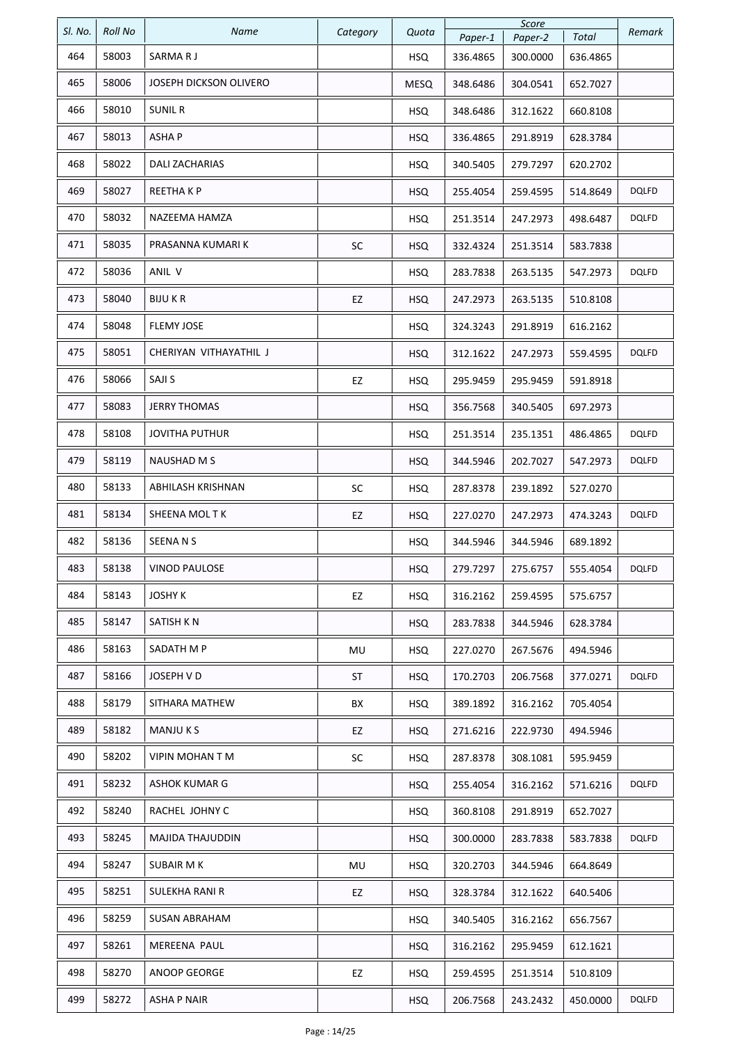| SI. No. | <b>Roll No</b> | Name                   | Category   | Quota       | Paper-1  | Score<br>Paper-2 | Total    | Remark       |
|---------|----------------|------------------------|------------|-------------|----------|------------------|----------|--------------|
| 464     | 58003          | SARMARJ                |            | <b>HSQ</b>  | 336.4865 | 300.0000         | 636.4865 |              |
| 465     | 58006          | JOSEPH DICKSON OLIVERO |            | <b>MESQ</b> | 348.6486 | 304.0541         | 652.7027 |              |
| 466     | 58010          | <b>SUNIL R</b>         |            | <b>HSQ</b>  | 348.6486 | 312.1622         | 660.8108 |              |
| 467     | 58013          | ASHA P                 |            | <b>HSQ</b>  | 336.4865 | 291.8919         | 628.3784 |              |
| 468     | 58022          | DALI ZACHARIAS         |            | <b>HSQ</b>  | 340.5405 | 279.7297         | 620.2702 |              |
| 469     | 58027          | <b>REETHAKP</b>        |            | <b>HSQ</b>  | 255.4054 | 259.4595         | 514.8649 | <b>DQLFD</b> |
| 470     | 58032          | NAZEEMA HAMZA          |            | <b>HSQ</b>  | 251.3514 | 247.2973         | 498.6487 | DQLFD        |
| 471     | 58035          | PRASANNA KUMARI K      | SC         | <b>HSQ</b>  | 332.4324 | 251.3514         | 583.7838 |              |
| 472     | 58036          | ANIL V                 |            | <b>HSQ</b>  | 283.7838 | 263.5135         | 547.2973 | DQLFD        |
| 473     | 58040          | <b>BIJUKR</b>          | EZ         | <b>HSQ</b>  | 247.2973 | 263.5135         | 510.8108 |              |
| 474     | 58048          | <b>FLEMY JOSE</b>      |            | <b>HSQ</b>  | 324.3243 | 291.8919         | 616.2162 |              |
| 475     | 58051          | CHERIYAN VITHAYATHIL J |            | <b>HSQ</b>  | 312.1622 | 247.2973         | 559.4595 | <b>DQLFD</b> |
| 476     | 58066          | SAJI S                 | EZ         | <b>HSQ</b>  | 295.9459 | 295.9459         | 591.8918 |              |
| 477     | 58083          | <b>JERRY THOMAS</b>    |            | <b>HSQ</b>  | 356.7568 | 340.5405         | 697.2973 |              |
| 478     | 58108          | JOVITHA PUTHUR         |            | <b>HSQ</b>  | 251.3514 | 235.1351         | 486.4865 | DQLFD        |
| 479     | 58119          | <b>NAUSHAD MS</b>      |            | <b>HSQ</b>  | 344.5946 | 202.7027         | 547.2973 | <b>DQLFD</b> |
| 480     | 58133          | ABHILASH KRISHNAN      | SC         | <b>HSQ</b>  | 287.8378 | 239.1892         | 527.0270 |              |
| 481     | 58134          | SHEENA MOL T K         | EZ         | <b>HSQ</b>  | 227.0270 | 247.2973         | 474.3243 | <b>DQLFD</b> |
| 482     | 58136          | <b>SEENANS</b>         |            | <b>HSQ</b>  | 344.5946 | 344.5946         | 689.1892 |              |
| 483     | 58138          | VINOD PAULOSE          |            | <b>HSQ</b>  | 279.7297 | 275.6757         | 555.4054 | <b>DQLFD</b> |
| 484     | 58143          | <b>JOSHY K</b>         | EZ         | <b>HSQ</b>  | 316.2162 | 259.4595         | 575.6757 |              |
| 485     | 58147          | SATISH K N             |            | <b>HSQ</b>  | 283.7838 | 344.5946         | 628.3784 |              |
| 486     | 58163          | SADATH M P             | MU         | <b>HSQ</b>  | 227.0270 | 267.5676         | 494.5946 |              |
| 487     | 58166          | JOSEPH V D             | ST         | <b>HSQ</b>  | 170.2703 | 206.7568         | 377.0271 | <b>DQLFD</b> |
| 488     | 58179          | SITHARA MATHEW         | ВX         | HSQ         | 389.1892 | 316.2162         | 705.4054 |              |
| 489     | 58182          | MANJU K S              | EZ         | <b>HSQ</b>  | 271.6216 | 222.9730         | 494.5946 |              |
| 490     | 58202          | <b>VIPIN MOHAN T M</b> | ${\sf SC}$ | <b>HSQ</b>  | 287.8378 | 308.1081         | 595.9459 |              |
| 491     | 58232          | ASHOK KUMAR G          |            | <b>HSQ</b>  | 255.4054 | 316.2162         | 571.6216 | <b>DQLFD</b> |
| 492     | 58240          | RACHEL JOHNY C         |            | <b>HSQ</b>  | 360.8108 | 291.8919         | 652.7027 |              |
| 493     | 58245          | MAJIDA THAJUDDIN       |            | HSQ         | 300.0000 | 283.7838         | 583.7838 | DQLFD        |
| 494     | 58247          | <b>SUBAIR MK</b>       | MU         | <b>HSQ</b>  | 320.2703 | 344.5946         | 664.8649 |              |
| 495     | 58251          | SULEKHA RANI R         | EZ         | <b>HSQ</b>  | 328.3784 | 312.1622         | 640.5406 |              |
| 496     | 58259          | SUSAN ABRAHAM          |            | <b>HSQ</b>  | 340.5405 | 316.2162         | 656.7567 |              |
| 497     | 58261          | MEREENA PAUL           |            | <b>HSQ</b>  | 316.2162 | 295.9459         | 612.1621 |              |
| 498     | 58270          | ANOOP GEORGE           | EZ         | <b>HSQ</b>  | 259.4595 | 251.3514         | 510.8109 |              |
| 499     | 58272          | <b>ASHA P NAIR</b>     |            | <b>HSQ</b>  | 206.7568 | 243.2432         | 450.0000 | <b>DQLFD</b> |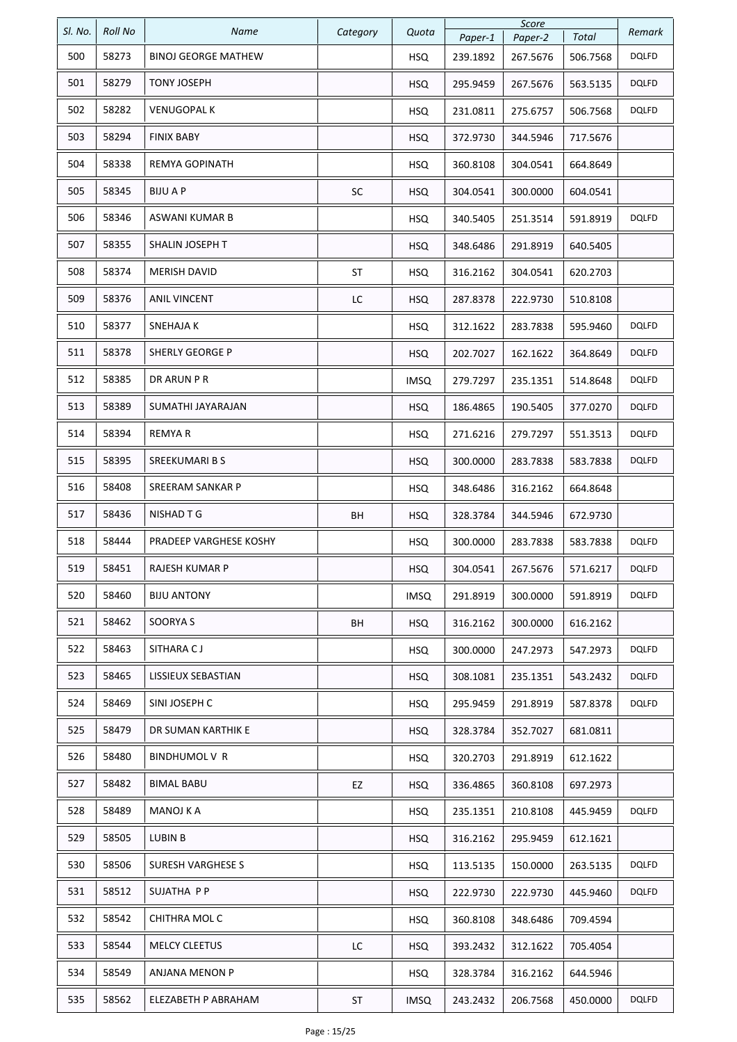|         |                |                            |          |             |          | Score    |          |              |
|---------|----------------|----------------------------|----------|-------------|----------|----------|----------|--------------|
| SI. No. | <b>Roll No</b> | <b>Name</b>                | Category | Quota       | Paper-1  | Paper-2  | Total    | Remark       |
| 500     | 58273          | <b>BINOJ GEORGE MATHEW</b> |          | <b>HSQ</b>  | 239.1892 | 267.5676 | 506.7568 | DQLFD        |
| 501     | 58279          | <b>TONY JOSEPH</b>         |          | <b>HSQ</b>  | 295.9459 | 267.5676 | 563.5135 | <b>DQLFD</b> |
| 502     | 58282          | <b>VENUGOPAL K</b>         |          | <b>HSQ</b>  | 231.0811 | 275.6757 | 506.7568 | DQLFD        |
| 503     | 58294          | <b>FINIX BABY</b>          |          | <b>HSQ</b>  | 372.9730 | 344.5946 | 717.5676 |              |
| 504     | 58338          | REMYA GOPINATH             |          | <b>HSQ</b>  | 360.8108 | 304.0541 | 664.8649 |              |
| 505     | 58345          | <b>BIJUAP</b>              | SC       | <b>HSQ</b>  | 304.0541 | 300.0000 | 604.0541 |              |
| 506     | 58346          | ASWANI KUMAR B             |          | <b>HSQ</b>  | 340.5405 | 251.3514 | 591.8919 | <b>DQLFD</b> |
| 507     | 58355          | SHALIN JOSEPH T            |          | <b>HSQ</b>  | 348.6486 | 291.8919 | 640.5405 |              |
| 508     | 58374          | <b>MERISH DAVID</b>        | ST       | <b>HSQ</b>  | 316.2162 | 304.0541 | 620.2703 |              |
| 509     | 58376          | <b>ANIL VINCENT</b>        | LC       | <b>HSQ</b>  | 287.8378 | 222.9730 | 510.8108 |              |
| 510     | 58377          | <b>SNEHAJA K</b>           |          | <b>HSQ</b>  | 312.1622 | 283.7838 | 595.9460 | <b>DQLFD</b> |
| 511     | 58378          | SHERLY GEORGE P            |          | <b>HSQ</b>  | 202.7027 | 162.1622 | 364.8649 | <b>DQLFD</b> |
| 512     | 58385          | DR ARUN P R                |          | <b>IMSQ</b> | 279.7297 | 235.1351 | 514.8648 | <b>DQLFD</b> |
| 513     | 58389          | SUMATHI JAYARAJAN          |          | <b>HSQ</b>  | 186.4865 | 190.5405 | 377.0270 | <b>DQLFD</b> |
| 514     | 58394          | <b>REMYAR</b>              |          | <b>HSQ</b>  | 271.6216 | 279.7297 | 551.3513 | <b>DQLFD</b> |
| 515     | 58395          | SREEKUMARI B S             |          | <b>HSQ</b>  | 300.0000 | 283.7838 | 583.7838 | <b>DQLFD</b> |
| 516     | 58408          | SREERAM SANKAR P           |          | <b>HSQ</b>  | 348.6486 | 316.2162 | 664.8648 |              |
| 517     | 58436          | NISHAD T G                 | BH       | <b>HSQ</b>  | 328.3784 | 344.5946 | 672.9730 |              |
| 518     | 58444          | PRADEEP VARGHESE KOSHY     |          | <b>HSQ</b>  | 300.0000 | 283.7838 | 583.7838 | <b>DQLFD</b> |
| 519     | 58451          | RAJESH KUMAR P             |          | <b>HSQ</b>  | 304.0541 | 267.5676 | 571.6217 | <b>DQLFD</b> |
| 520     | 58460          | <b>BIJU ANTONY</b>         |          | <b>IMSQ</b> | 291.8919 | 300.0000 | 591.8919 | <b>DQLFD</b> |
| 521     | 58462          | SOORYA S                   | BH       | <b>HSQ</b>  | 316.2162 | 300.0000 | 616.2162 |              |
| 522     | 58463          | SITHARA CJ                 |          | <b>HSQ</b>  | 300.0000 | 247.2973 | 547.2973 | <b>DQLFD</b> |
| 523     | 58465          | LISSIEUX SEBASTIAN         |          | <b>HSQ</b>  | 308.1081 | 235.1351 | 543.2432 | <b>DQLFD</b> |
| 524     | 58469          | SINI JOSEPH C              |          | <b>HSQ</b>  | 295.9459 | 291.8919 | 587.8378 | DQLFD        |
| 525     | 58479          | DR SUMAN KARTHIK E         |          | <b>HSQ</b>  | 328.3784 | 352.7027 | 681.0811 |              |
| 526     | 58480          | BINDHUMOL V R              |          | <b>HSQ</b>  | 320.2703 | 291.8919 | 612.1622 |              |
| 527     | 58482          | BIMAL BABU                 | EZ       | <b>HSQ</b>  | 336.4865 | 360.8108 | 697.2973 |              |
| 528     | 58489          | <b>MANOJ KA</b>            |          | <b>HSQ</b>  | 235.1351 | 210.8108 | 445.9459 | <b>DQLFD</b> |
| 529     | 58505          | LUBIN B                    |          | <b>HSQ</b>  | 316.2162 | 295.9459 | 612.1621 |              |
| 530     | 58506          | SURESH VARGHESE S          |          | <b>HSQ</b>  | 113.5135 | 150.0000 | 263.5135 | DQLFD        |
| 531     | 58512          | SUJATHA P P                |          | <b>HSQ</b>  | 222.9730 | 222.9730 | 445.9460 | DQLFD        |
| 532     | 58542          | CHITHRA MOL C              |          | <b>HSQ</b>  | 360.8108 | 348.6486 | 709.4594 |              |
| 533     | 58544          | <b>MELCY CLEETUS</b>       | LC       | <b>HSQ</b>  | 393.2432 | 312.1622 | 705.4054 |              |
| 534     | 58549          | ANJANA MENON P             |          | <b>HSQ</b>  | 328.3784 | 316.2162 | 644.5946 |              |
| 535     | 58562          | ELEZABETH P ABRAHAM        | ST       | <b>IMSQ</b> | 243.2432 | 206.7568 | 450.0000 | DQLFD        |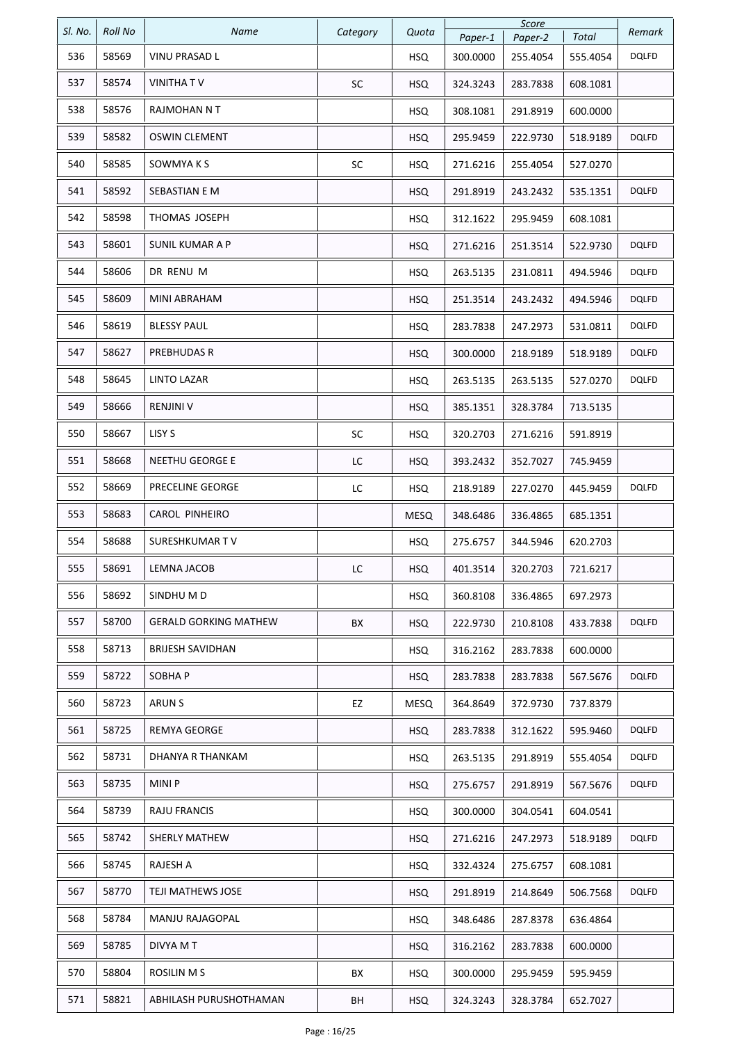|         |                |                              |          |             |          | Score    |          |              |
|---------|----------------|------------------------------|----------|-------------|----------|----------|----------|--------------|
| SI. No. | <b>Roll No</b> | <b>Name</b>                  | Category | Quota       | Paper-1  | Paper-2  | Total    | Remark       |
| 536     | 58569          | VINU PRASAD L                |          | <b>HSQ</b>  | 300.0000 | 255.4054 | 555.4054 | <b>DQLFD</b> |
| 537     | 58574          | VINITHA T V                  | SC       | <b>HSQ</b>  | 324.3243 | 283.7838 | 608.1081 |              |
| 538     | 58576          | RAJMOHAN N T                 |          | <b>HSQ</b>  | 308.1081 | 291.8919 | 600.0000 |              |
| 539     | 58582          | OSWIN CLEMENT                |          | <b>HSQ</b>  | 295.9459 | 222.9730 | 518.9189 | <b>DQLFD</b> |
| 540     | 58585          | SOWMYA K S                   | SC       | <b>HSQ</b>  | 271.6216 | 255.4054 | 527.0270 |              |
| 541     | 58592          | SEBASTIAN E M                |          | <b>HSQ</b>  | 291.8919 | 243.2432 | 535.1351 | <b>DQLFD</b> |
| 542     | 58598          | THOMAS JOSEPH                |          | <b>HSQ</b>  | 312.1622 | 295.9459 | 608.1081 |              |
| 543     | 58601          | SUNIL KUMAR A P              |          | <b>HSQ</b>  | 271.6216 | 251.3514 | 522.9730 | <b>DQLFD</b> |
| 544     | 58606          | DR RENU M                    |          | <b>HSQ</b>  | 263.5135 | 231.0811 | 494.5946 | DQLFD        |
| 545     | 58609          | MINI ABRAHAM                 |          | <b>HSQ</b>  | 251.3514 | 243.2432 | 494.5946 | <b>DQLFD</b> |
| 546     | 58619          | <b>BLESSY PAUL</b>           |          | <b>HSQ</b>  | 283.7838 | 247.2973 | 531.0811 | DQLFD        |
| 547     | 58627          | PREBHUDAS R                  |          | <b>HSQ</b>  | 300.0000 | 218.9189 | 518.9189 | <b>DQLFD</b> |
| 548     | 58645          | <b>LINTO LAZAR</b>           |          | <b>HSQ</b>  | 263.5135 | 263.5135 | 527.0270 | <b>DQLFD</b> |
| 549     | 58666          | <b>RENJINI V</b>             |          | <b>HSQ</b>  | 385.1351 | 328.3784 | 713.5135 |              |
| 550     | 58667          | LISY S                       | SC       | <b>HSQ</b>  | 320.2703 | 271.6216 | 591.8919 |              |
| 551     | 58668          | NEETHU GEORGE E              | LC       | <b>HSQ</b>  | 393.2432 | 352.7027 | 745.9459 |              |
| 552     | 58669          | PRECELINE GEORGE             | LC       | <b>HSQ</b>  | 218.9189 | 227.0270 | 445.9459 | DQLFD        |
| 553     | 58683          | <b>CAROL PINHEIRO</b>        |          | <b>MESQ</b> | 348.6486 | 336.4865 | 685.1351 |              |
| 554     | 58688          | SURESHKUMAR TV               |          | <b>HSQ</b>  | 275.6757 | 344.5946 | 620.2703 |              |
| 555     | 58691          | LEMNA JACOB                  | LC       | <b>HSQ</b>  | 401.3514 | 320.2703 | 721.6217 |              |
| 556     | 58692          | SINDHUMD                     |          | <b>HSQ</b>  | 360.8108 | 336.4865 | 697.2973 |              |
| 557     | 58700          | <b>GERALD GORKING MATHEW</b> | BX       | <b>HSQ</b>  | 222.9730 | 210.8108 | 433.7838 | <b>DQLFD</b> |
| 558     | 58713          | BRIJESH SAVIDHAN             |          | <b>HSQ</b>  | 316.2162 | 283.7838 | 600.0000 |              |
| 559     | 58722          | SOBHA P                      |          | <b>HSQ</b>  | 283.7838 | 283.7838 | 567.5676 | <b>DQLFD</b> |
| 560     | 58723          | ARUN S                       | EZ       | <b>MESQ</b> | 364.8649 | 372.9730 | 737.8379 |              |
| 561     | 58725          | REMYA GEORGE                 |          | <b>HSQ</b>  | 283.7838 | 312.1622 | 595.9460 | <b>DQLFD</b> |
| 562     | 58731          | DHANYA R THANKAM             |          | <b>HSQ</b>  | 263.5135 | 291.8919 | 555.4054 | <b>DQLFD</b> |
| 563     | 58735          | <b>MINIP</b>                 |          | <b>HSQ</b>  | 275.6757 | 291.8919 | 567.5676 | DQLFD        |
| 564     | 58739          | <b>RAJU FRANCIS</b>          |          | <b>HSQ</b>  | 300.0000 | 304.0541 | 604.0541 |              |
| 565     | 58742          | <b>SHERLY MATHEW</b>         |          | <b>HSQ</b>  | 271.6216 | 247.2973 | 518.9189 | DQLFD        |
| 566     | 58745          | RAJESH A                     |          | <b>HSQ</b>  | 332.4324 | 275.6757 | 608.1081 |              |
| 567     | 58770          | TEJI MATHEWS JOSE            |          | <b>HSQ</b>  | 291.8919 | 214.8649 | 506.7568 | <b>DQLFD</b> |
| 568     | 58784          | MANJU RAJAGOPAL              |          | <b>HSQ</b>  | 348.6486 | 287.8378 | 636.4864 |              |
| 569     | 58785          | DIVYA M T                    |          | <b>HSQ</b>  | 316.2162 | 283.7838 | 600.0000 |              |
| 570     | 58804          | ROSILIN M S                  | ВX       | <b>HSQ</b>  | 300.0000 | 295.9459 | 595.9459 |              |
| 571     | 58821          | ABHILASH PURUSHOTHAMAN       | BH       | <b>HSQ</b>  | 324.3243 | 328.3784 | 652.7027 |              |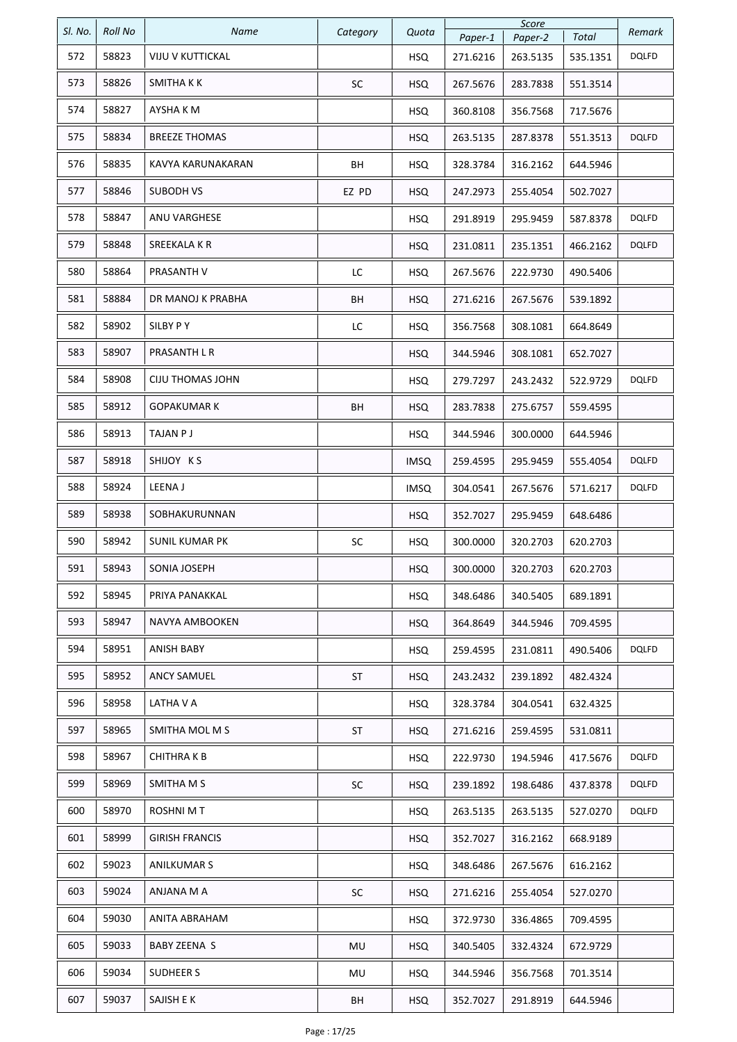|         |                |                         |          |             |          | Score    |          |              |
|---------|----------------|-------------------------|----------|-------------|----------|----------|----------|--------------|
| SI. No. | <b>Roll No</b> | Name                    | Category | Quota       | Paper-1  | Paper-2  | Total    | Remark       |
| 572     | 58823          | VIJU V KUTTICKAL        |          | <b>HSQ</b>  | 271.6216 | 263.5135 | 535.1351 | DQLFD        |
| 573     | 58826          | SMITHA K K              | SC       | <b>HSQ</b>  | 267.5676 | 283.7838 | 551.3514 |              |
| 574     | 58827          | AYSHA K M               |          | <b>HSQ</b>  | 360.8108 | 356.7568 | 717.5676 |              |
| 575     | 58834          | <b>BREEZE THOMAS</b>    |          | <b>HSQ</b>  | 263.5135 | 287.8378 | 551.3513 | <b>DQLFD</b> |
| 576     | 58835          | KAVYA KARUNAKARAN       | BH       | <b>HSQ</b>  | 328.3784 | 316.2162 | 644.5946 |              |
| 577     | 58846          | SUBODH VS               | EZ PD    | <b>HSQ</b>  | 247.2973 | 255.4054 | 502.7027 |              |
| 578     | 58847          | ANU VARGHESE            |          | <b>HSQ</b>  | 291.8919 | 295.9459 | 587.8378 | <b>DQLFD</b> |
| 579     | 58848          | SREEKALA K R            |          | <b>HSQ</b>  | 231.0811 | 235.1351 | 466.2162 | DQLFD        |
| 580     | 58864          | PRASANTH V              | LC       | <b>HSQ</b>  | 267.5676 | 222.9730 | 490.5406 |              |
| 581     | 58884          | DR MANOJ K PRABHA       | BH       | <b>HSQ</b>  | 271.6216 | 267.5676 | 539.1892 |              |
| 582     | 58902          | SILBY PY                | LC       | <b>HSQ</b>  | 356.7568 | 308.1081 | 664.8649 |              |
| 583     | 58907          | PRASANTH L R            |          | <b>HSQ</b>  | 344.5946 | 308.1081 | 652.7027 |              |
| 584     | 58908          | <b>CIJU THOMAS JOHN</b> |          | <b>HSQ</b>  | 279.7297 | 243.2432 | 522.9729 | <b>DQLFD</b> |
| 585     | 58912          | <b>GOPAKUMAR K</b>      | BH       | <b>HSQ</b>  | 283.7838 | 275.6757 | 559.4595 |              |
| 586     | 58913          | TAJAN P J               |          | <b>HSQ</b>  | 344.5946 | 300.0000 | 644.5946 |              |
| 587     | 58918          | SHIJOY KS               |          | <b>IMSQ</b> | 259.4595 | 295.9459 | 555.4054 | <b>DQLFD</b> |
| 588     | 58924          | LEENA J                 |          | <b>IMSQ</b> | 304.0541 | 267.5676 | 571.6217 | DQLFD        |
| 589     | 58938          | SOBHAKURUNNAN           |          | <b>HSQ</b>  | 352.7027 | 295.9459 | 648.6486 |              |
| 590     | 58942          | <b>SUNIL KUMAR PK</b>   | SC       | <b>HSQ</b>  | 300.0000 | 320.2703 | 620.2703 |              |
| 591     | 58943          | SONIA JOSEPH            |          | <b>HSQ</b>  | 300.0000 | 320.2703 | 620.2703 |              |
| 592     | 58945          | PRIYA PANAKKAL          |          | <b>HSQ</b>  | 348.6486 | 340.5405 | 689.1891 |              |
| 593     | 58947          | NAVYA AMBOOKEN          |          | <b>HSQ</b>  | 364.8649 | 344.5946 | 709.4595 |              |
| 594     | 58951          | ANISH BABY              |          | <b>HSQ</b>  | 259.4595 | 231.0811 | 490.5406 | <b>DQLFD</b> |
| 595     | 58952          | <b>ANCY SAMUEL</b>      | ST       | <b>HSQ</b>  | 243.2432 | 239.1892 | 482.4324 |              |
| 596     | 58958          | LATHA V A               |          | <b>HSQ</b>  | 328.3784 | 304.0541 | 632.4325 |              |
| 597     | 58965          | SMITHA MOL M S          | ST       | <b>HSQ</b>  | 271.6216 | 259.4595 | 531.0811 |              |
| 598     | 58967          | CHITHRA K B             |          | <b>HSQ</b>  | 222.9730 | 194.5946 | 417.5676 | <b>DQLFD</b> |
| 599     | 58969          | SMITHA M S              | SC       | <b>HSQ</b>  | 239.1892 | 198.6486 | 437.8378 | DQLFD        |
| 600     | 58970          | <b>ROSHNI MT</b>        |          | <b>HSQ</b>  | 263.5135 | 263.5135 | 527.0270 | DQLFD        |
| 601     | 58999          | <b>GIRISH FRANCIS</b>   |          | <b>HSQ</b>  | 352.7027 | 316.2162 | 668.9189 |              |
| 602     | 59023          | ANILKUMAR S             |          | <b>HSQ</b>  | 348.6486 | 267.5676 | 616.2162 |              |
| 603     | 59024          | ANJANA M A              | SC       | <b>HSQ</b>  | 271.6216 | 255.4054 | 527.0270 |              |
| 604     | 59030          | ANITA ABRAHAM           |          | <b>HSQ</b>  | 372.9730 | 336.4865 | 709.4595 |              |
| 605     | 59033          | <b>BABY ZEENA S</b>     | MU       | <b>HSQ</b>  | 340.5405 | 332.4324 | 672.9729 |              |
| 606     | 59034          | SUDHEER S               | MU       | <b>HSQ</b>  | 344.5946 | 356.7568 | 701.3514 |              |
| 607     | 59037          | SAJISH E K              | BH       | <b>HSQ</b>  | 352.7027 | 291.8919 | 644.5946 |              |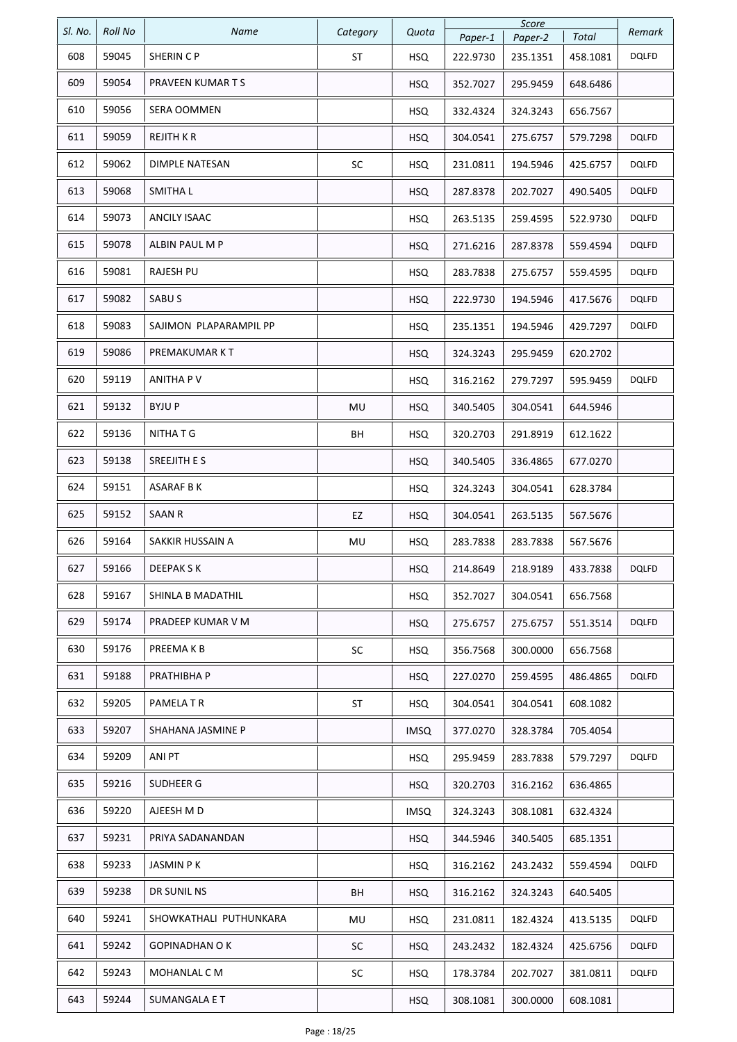| SI. No. | <b>Roll No</b> | Name                   | Category | Quota       | Paper-1  | Score<br>Paper-2 | Total    | Remark       |
|---------|----------------|------------------------|----------|-------------|----------|------------------|----------|--------------|
| 608     | 59045          | SHERIN C P             | ST       | <b>HSQ</b>  | 222.9730 | 235.1351         | 458.1081 | DQLFD        |
| 609     | 59054          | PRAVEEN KUMAR T S      |          | <b>HSQ</b>  | 352.7027 | 295.9459         | 648.6486 |              |
| 610     | 59056          | SERA OOMMEN            |          | <b>HSQ</b>  | 332.4324 | 324.3243         | 656.7567 |              |
| 611     | 59059          | <b>REJITH K R</b>      |          | <b>HSQ</b>  | 304.0541 | 275.6757         | 579.7298 | DQLFD        |
| 612     | 59062          | DIMPLE NATESAN         | SC       | <b>HSQ</b>  | 231.0811 | 194.5946         | 425.6757 | DQLFD        |
| 613     | 59068          | SMITHA L               |          | <b>HSQ</b>  | 287.8378 | 202.7027         | 490.5405 | <b>DQLFD</b> |
| 614     | 59073          | <b>ANCILY ISAAC</b>    |          | <b>HSQ</b>  | 263.5135 | 259.4595         | 522.9730 | <b>DQLFD</b> |
| 615     | 59078          | ALBIN PAUL M P         |          | <b>HSQ</b>  | 271.6216 | 287.8378         | 559.4594 | <b>DQLFD</b> |
| 616     | 59081          | RAJESH PU              |          | <b>HSQ</b>  | 283.7838 | 275.6757         | 559.4595 | DQLFD        |
| 617     | 59082          | SABU S                 |          | <b>HSQ</b>  | 222.9730 | 194.5946         | 417.5676 | <b>DQLFD</b> |
| 618     | 59083          | SAJIMON PLAPARAMPIL PP |          | <b>HSQ</b>  | 235.1351 | 194.5946         | 429.7297 | <b>DQLFD</b> |
| 619     | 59086          | PREMAKUMAR K T         |          | <b>HSQ</b>  | 324.3243 | 295.9459         | 620.2702 |              |
| 620     | 59119          | <b>ANITHA PV</b>       |          | <b>HSQ</b>  | 316.2162 | 279.7297         | 595.9459 | <b>DQLFD</b> |
| 621     | 59132          | <b>BYJUP</b>           | MU       | <b>HSQ</b>  | 340.5405 | 304.0541         | 644.5946 |              |
| 622     | 59136          | <b>NITHATG</b>         | BH       | <b>HSQ</b>  | 320.2703 | 291.8919         | 612.1622 |              |
| 623     | 59138          | SREEJITH E S           |          | <b>HSQ</b>  | 340.5405 | 336.4865         | 677.0270 |              |
| 624     | 59151          | <b>ASARAF B K</b>      |          | <b>HSQ</b>  | 324.3243 | 304.0541         | 628.3784 |              |
| 625     | 59152          | <b>SAAN R</b>          | EZ       | <b>HSQ</b>  | 304.0541 | 263.5135         | 567.5676 |              |
| 626     | 59164          | SAKKIR HUSSAIN A       | MU       | <b>HSQ</b>  | 283.7838 | 283.7838         | 567.5676 |              |
| 627     | 59166          | DEEPAK S K             |          | <b>HSQ</b>  | 214.8649 | 218.9189         | 433.7838 | <b>DQLFD</b> |
| 628     | 59167          | SHINLA B MADATHIL      |          | <b>HSQ</b>  | 352.7027 | 304.0541         | 656.7568 |              |
| 629     | 59174          | PRADEEP KUMAR V M      |          | <b>HSQ</b>  | 275.6757 | 275.6757         | 551.3514 | <b>DQLFD</b> |
| 630     | 59176          | PREEMA K B             | SC       | <b>HSQ</b>  | 356.7568 | 300.0000         | 656.7568 |              |
| 631     | 59188          | PRATHIBHA P            |          | <b>HSQ</b>  | 227.0270 | 259.4595         | 486.4865 | DQLFD        |
| 632     | 59205          | PAMELA T R             | ST       | <b>HSQ</b>  | 304.0541 | 304.0541         | 608.1082 |              |
| 633     | 59207          | SHAHANA JASMINE P      |          | <b>IMSQ</b> | 377.0270 | 328.3784         | 705.4054 |              |
| 634     | 59209          | ANI PT                 |          | <b>HSQ</b>  | 295.9459 | 283.7838         | 579.7297 | <b>DQLFD</b> |
| 635     | 59216          | SUDHEER G              |          | <b>HSQ</b>  | 320.2703 | 316.2162         | 636.4865 |              |
| 636     | 59220          | AJEESH M D             |          | <b>IMSQ</b> | 324.3243 | 308.1081         | 632.4324 |              |
| 637     | 59231          | PRIYA SADANANDAN       |          | <b>HSQ</b>  | 344.5946 | 340.5405         | 685.1351 |              |
| 638     | 59233          | JASMIN P K             |          | <b>HSQ</b>  | 316.2162 | 243.2432         | 559.4594 | DQLFD        |
| 639     | 59238          | DR SUNIL NS            | BH       | HSQ         | 316.2162 | 324.3243         | 640.5405 |              |
| 640     | 59241          | SHOWKATHALI PUTHUNKARA | MU       | <b>HSQ</b>  | 231.0811 | 182.4324         | 413.5135 | <b>DQLFD</b> |
| 641     | 59242          | GOPINADHAN O K         | SC       | <b>HSQ</b>  | 243.2432 | 182.4324         | 425.6756 | DQLFD        |
| 642     | 59243          | MOHANLAL C M           | SC       | <b>HSQ</b>  | 178.3784 | 202.7027         | 381.0811 | DQLFD        |
| 643     | 59244          | SUMANGALA E T          |          | HSQ         | 308.1081 | 300.0000         | 608.1081 |              |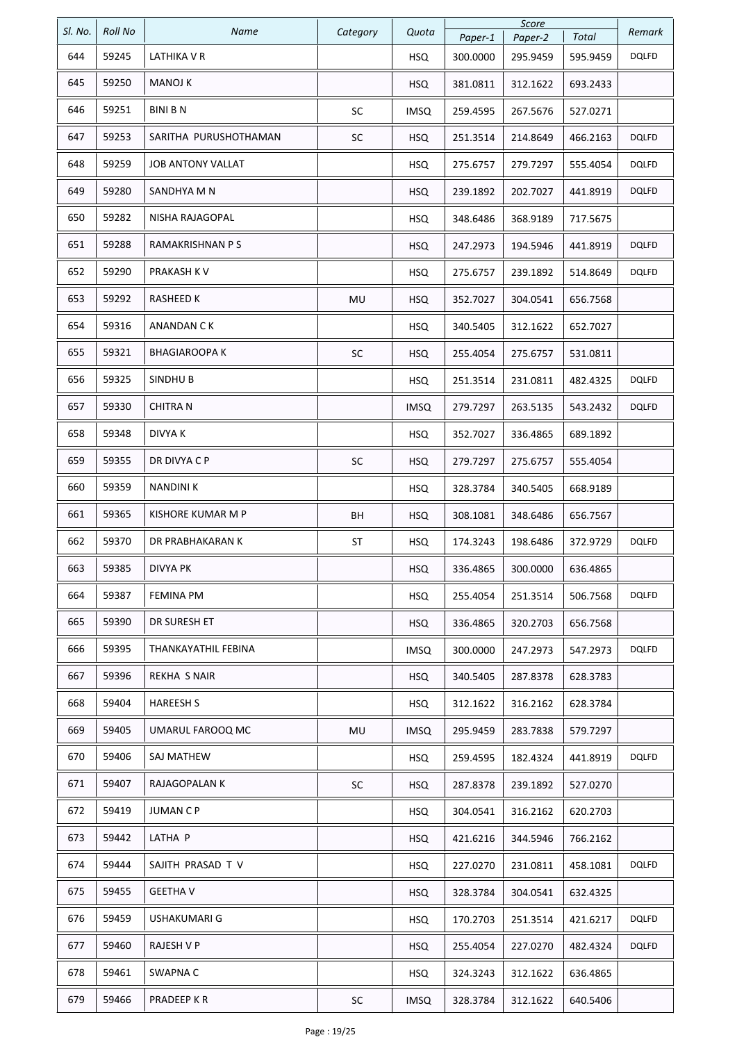| SI. No. | <b>Roll No</b> | <b>Name</b>           |           | Quota       |          | Score    |          | Remark       |
|---------|----------------|-----------------------|-----------|-------------|----------|----------|----------|--------------|
|         |                |                       | Category  |             | Paper-1  | Paper-2  | Total    |              |
| 644     | 59245          | LATHIKA V R           |           | <b>HSQ</b>  | 300.0000 | 295.9459 | 595.9459 | <b>DQLFD</b> |
| 645     | 59250          | <b>MANOJ K</b>        |           | <b>HSQ</b>  | 381.0811 | 312.1622 | 693.2433 |              |
| 646     | 59251          | <b>BINI B N</b>       | <b>SC</b> | <b>IMSQ</b> | 259.4595 | 267.5676 | 527.0271 |              |
| 647     | 59253          | SARITHA PURUSHOTHAMAN | <b>SC</b> | <b>HSQ</b>  | 251.3514 | 214.8649 | 466.2163 | <b>DQLFD</b> |
| 648     | 59259          | JOB ANTONY VALLAT     |           | <b>HSQ</b>  | 275.6757 | 279.7297 | 555.4054 | <b>DQLFD</b> |
| 649     | 59280          | SANDHYA M N           |           | <b>HSQ</b>  | 239.1892 | 202.7027 | 441.8919 | <b>DQLFD</b> |
| 650     | 59282          | NISHA RAJAGOPAL       |           | <b>HSQ</b>  | 348.6486 | 368.9189 | 717.5675 |              |
| 651     | 59288          | RAMAKRISHNAN P S      |           | <b>HSQ</b>  | 247.2973 | 194.5946 | 441.8919 | <b>DQLFD</b> |
| 652     | 59290          | PRAKASH KV            |           | <b>HSQ</b>  | 275.6757 | 239.1892 | 514.8649 | <b>DQLFD</b> |
| 653     | 59292          | RASHEED K             | MU        | <b>HSQ</b>  | 352.7027 | 304.0541 | 656.7568 |              |
| 654     | 59316          | ANANDAN CK            |           | <b>HSQ</b>  | 340.5405 | 312.1622 | 652.7027 |              |
| 655     | 59321          | <b>BHAGIAROOPA K</b>  | SC        | <b>HSQ</b>  | 255.4054 | 275.6757 | 531.0811 |              |
| 656     | 59325          | SINDHU B              |           | <b>HSQ</b>  | 251.3514 | 231.0811 | 482.4325 | <b>DQLFD</b> |
| 657     | 59330          | <b>CHITRA N</b>       |           | <b>IMSQ</b> | 279.7297 | 263.5135 | 543.2432 | <b>DQLFD</b> |
| 658     | 59348          | <b>DIVYA K</b>        |           | <b>HSQ</b>  | 352.7027 | 336.4865 | 689.1892 |              |
| 659     | 59355          | DR DIVYA C P          | SC        | <b>HSQ</b>  | 279.7297 | 275.6757 | 555.4054 |              |
| 660     | 59359          | <b>NANDINIK</b>       |           | <b>HSQ</b>  | 328.3784 | 340.5405 | 668.9189 |              |
| 661     | 59365          | KISHORE KUMAR M P     | BH        | <b>HSQ</b>  | 308.1081 | 348.6486 | 656.7567 |              |
| 662     | 59370          | DR PRABHAKARAN K      | ST        | <b>HSQ</b>  | 174.3243 | 198.6486 | 372.9729 | <b>DQLFD</b> |
| 663     | 59385          | DIVYA PK              |           | <b>HSQ</b>  | 336.4865 | 300.0000 | 636.4865 |              |
| 664     | 59387          | FEMINA PM             |           | <b>HSQ</b>  | 255.4054 | 251.3514 | 506.7568 | <b>DQLFD</b> |
| 665     | 59390          | DR SURESH ET          |           | <b>HSQ</b>  | 336.4865 | 320.2703 | 656.7568 |              |
| 666     | 59395          | THANKAYATHIL FEBINA   |           | <b>IMSQ</b> | 300.0000 | 247.2973 | 547.2973 | <b>DQLFD</b> |
| 667     | 59396          | <b>REKHA S NAIR</b>   |           | <b>HSQ</b>  | 340.5405 | 287.8378 | 628.3783 |              |
| 668     | 59404          | <b>HAREESH S</b>      |           | <b>HSQ</b>  | 312.1622 | 316.2162 | 628.3784 |              |
| 669     | 59405          | UMARUL FAROOQ MC      | MU        | <b>IMSQ</b> | 295.9459 | 283.7838 | 579.7297 |              |
| 670     | 59406          | SAJ MATHEW            |           | <b>HSQ</b>  | 259.4595 | 182.4324 | 441.8919 | <b>DQLFD</b> |
| 671     | 59407          | RAJAGOPALAN K         | SC        | <b>HSQ</b>  | 287.8378 | 239.1892 | 527.0270 |              |
| 672     | 59419          | JUMAN C P             |           | <b>HSQ</b>  | 304.0541 | 316.2162 | 620.2703 |              |
| 673     | 59442          | LATHA P               |           | <b>HSQ</b>  | 421.6216 | 344.5946 | 766.2162 |              |
| 674     | 59444          | SAJITH PRASAD T V     |           | HSQ         | 227.0270 | 231.0811 | 458.1081 | DQLFD        |
| 675     | 59455          | <b>GEETHA V</b>       |           | <b>HSQ</b>  | 328.3784 | 304.0541 | 632.4325 |              |
| 676     | 59459          | USHAKUMARI G          |           | <b>HSQ</b>  | 170.2703 | 251.3514 | 421.6217 | <b>DQLFD</b> |
| 677     | 59460          | RAJESH V P            |           | <b>HSQ</b>  | 255.4054 | 227.0270 | 482.4324 | <b>DQLFD</b> |
| 678     | 59461          | SWAPNA C              |           | HSQ         | 324.3243 | 312.1622 | 636.4865 |              |
| 679     | 59466          | PRADEEP KR            | SC        | <b>IMSQ</b> | 328.3784 | 312.1622 | 640.5406 |              |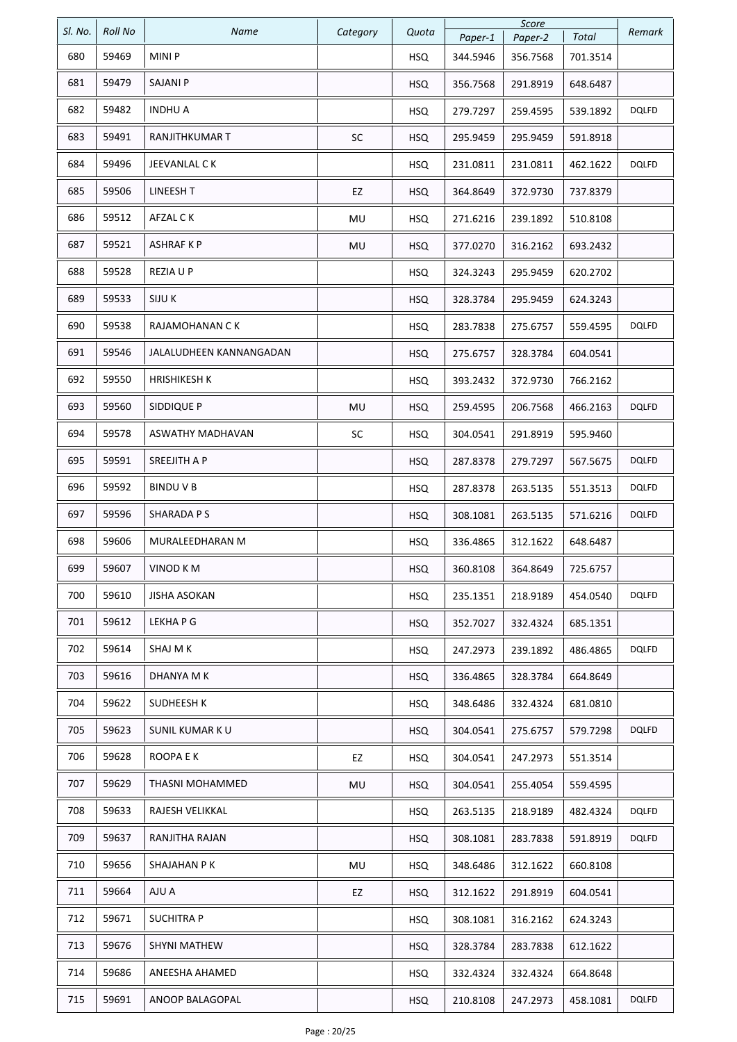|         |                |                         |          |            |          | Score    |          |              |
|---------|----------------|-------------------------|----------|------------|----------|----------|----------|--------------|
| SI. No. | <b>Roll No</b> | Name                    | Category | Quota      | Paper-1  | Paper-2  | Total    | Remark       |
| 680     | 59469          | MINI P                  |          | <b>HSQ</b> | 344.5946 | 356.7568 | 701.3514 |              |
| 681     | 59479          | SAJANI P                |          | <b>HSQ</b> | 356.7568 | 291.8919 | 648.6487 |              |
| 682     | 59482          | <b>INDHU A</b>          |          | <b>HSQ</b> | 279.7297 | 259.4595 | 539.1892 | DQLFD        |
| 683     | 59491          | RANJITHKUMAR T          | SC       | <b>HSQ</b> | 295.9459 | 295.9459 | 591.8918 |              |
| 684     | 59496          | JEEVANLAL C K           |          | <b>HSQ</b> | 231.0811 | 231.0811 | 462.1622 | <b>DQLFD</b> |
| 685     | 59506          | <b>LINEESH T</b>        | EZ       | <b>HSQ</b> | 364.8649 | 372.9730 | 737.8379 |              |
| 686     | 59512          | AFZAL CK                | MU       | <b>HSQ</b> | 271.6216 | 239.1892 | 510.8108 |              |
| 687     | 59521          | <b>ASHRAF K P</b>       | MU       | <b>HSQ</b> | 377.0270 | 316.2162 | 693.2432 |              |
| 688     | 59528          | REZIA U P               |          | <b>HSQ</b> | 324.3243 | 295.9459 | 620.2702 |              |
| 689     | 59533          | <b>SIJU K</b>           |          | <b>HSQ</b> | 328.3784 | 295.9459 | 624.3243 |              |
| 690     | 59538          | RAJAMOHANAN CK          |          | <b>HSQ</b> | 283.7838 | 275.6757 | 559.4595 | DQLFD        |
| 691     | 59546          | JALALUDHEEN KANNANGADAN |          | <b>HSQ</b> | 275.6757 | 328.3784 | 604.0541 |              |
| 692     | 59550          | <b>HRISHIKESH K</b>     |          | <b>HSQ</b> | 393.2432 | 372.9730 | 766.2162 |              |
| 693     | 59560          | SIDDIQUE P              | MU       | <b>HSQ</b> | 259.4595 | 206.7568 | 466.2163 | <b>DQLFD</b> |
| 694     | 59578          | ASWATHY MADHAVAN        | SC       | <b>HSQ</b> | 304.0541 | 291.8919 | 595.9460 |              |
| 695     | 59591          | SREEJITH A P            |          | <b>HSQ</b> | 287.8378 | 279.7297 | 567.5675 | <b>DQLFD</b> |
| 696     | 59592          | <b>BINDUVB</b>          |          | <b>HSQ</b> | 287.8378 | 263.5135 | 551.3513 | DQLFD        |
| 697     | 59596          | SHARADA P S             |          | <b>HSQ</b> | 308.1081 | 263.5135 | 571.6216 | <b>DQLFD</b> |
| 698     | 59606          | MURALEEDHARAN M         |          | <b>HSQ</b> | 336.4865 | 312.1622 | 648.6487 |              |
| 699     | 59607          | VINOD K M               |          | <b>HSQ</b> | 360.8108 | 364.8649 | 725.6757 |              |
| 700     | 59610          | <b>JISHA ASOKAN</b>     |          | <b>HSQ</b> | 235.1351 | 218.9189 | 454.0540 | <b>DQLFD</b> |
| 701     | 59612          | LEKHA P G               |          | <b>HSQ</b> | 352.7027 | 332.4324 | 685.1351 |              |
| 702     | 59614          | SHAJ M K                |          | <b>HSQ</b> | 247.2973 | 239.1892 | 486.4865 | <b>DQLFD</b> |
| 703     | 59616          | DHANYA M K              |          | <b>HSQ</b> | 336.4865 | 328.3784 | 664.8649 |              |
| 704     | 59622          | SUDHEESH K              |          | HSQ        | 348.6486 | 332.4324 | 681.0810 |              |
| 705     | 59623          | SUNIL KUMAR KU          |          | <b>HSQ</b> | 304.0541 | 275.6757 | 579.7298 | DQLFD        |
| 706     | 59628          | ROOPA E K               | EZ       | <b>HSQ</b> | 304.0541 | 247.2973 | 551.3514 |              |
| 707     | 59629          | THASNI MOHAMMED         | MU       | <b>HSQ</b> | 304.0541 | 255.4054 | 559.4595 |              |
| 708     | 59633          | RAJESH VELIKKAL         |          | <b>HSQ</b> | 263.5135 | 218.9189 | 482.4324 | DQLFD        |
| 709     | 59637          | RANJITHA RAJAN          |          | HSQ        | 308.1081 | 283.7838 | 591.8919 | DQLFD        |
| 710     | 59656          | SHAJAHAN P K            | MU       | <b>HSQ</b> | 348.6486 | 312.1622 | 660.8108 |              |
| 711     | 59664          | AJU A                   | EZ       | <b>HSQ</b> | 312.1622 | 291.8919 | 604.0541 |              |
| 712     | 59671          | <b>SUCHITRA P</b>       |          | <b>HSQ</b> | 308.1081 | 316.2162 | 624.3243 |              |
| 713     | 59676          | <b>SHYNI MATHEW</b>     |          | <b>HSQ</b> | 328.3784 | 283.7838 | 612.1622 |              |
| 714     | 59686          | ANEESHA AHAMED          |          | <b>HSQ</b> | 332.4324 | 332.4324 | 664.8648 |              |
| 715     | 59691          | ANOOP BALAGOPAL         |          | <b>HSQ</b> | 210.8108 | 247.2973 | 458.1081 | DQLFD        |
|         |                |                         |          |            |          |          |          |              |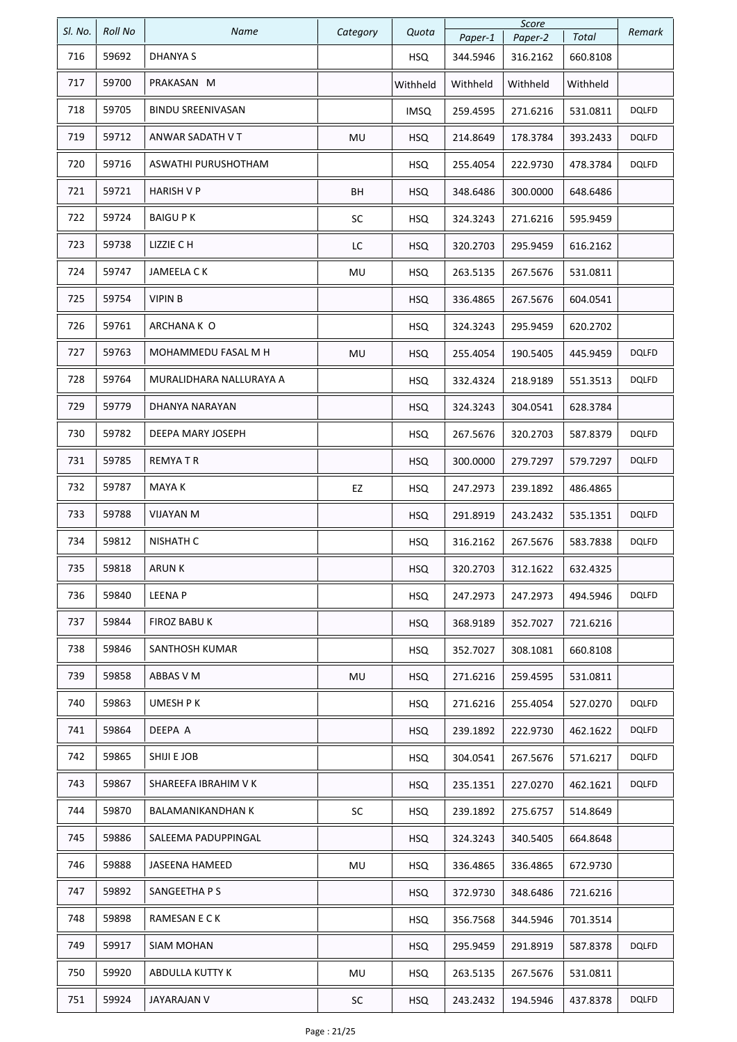|         |                |                          |           |             |          | Score    |          |              |
|---------|----------------|--------------------------|-----------|-------------|----------|----------|----------|--------------|
| SI. No. | <b>Roll No</b> | Name                     | Category  | Quota       | Paper-1  | Paper-2  | Total    | Remark       |
| 716     | 59692          | <b>DHANYAS</b>           |           | <b>HSQ</b>  | 344.5946 | 316.2162 | 660.8108 |              |
| 717     | 59700          | PRAKASAN M               |           | Withheld    | Withheld | Withheld | Withheld |              |
| 718     | 59705          | <b>BINDU SREENIVASAN</b> |           | <b>IMSQ</b> | 259.4595 | 271.6216 | 531.0811 | <b>DQLFD</b> |
| 719     | 59712          | ANWAR SADATH V T         | MU        | <b>HSQ</b>  | 214.8649 | 178.3784 | 393.2433 | <b>DQLFD</b> |
| 720     | 59716          | ASWATHI PURUSHOTHAM      |           | <b>HSQ</b>  | 255.4054 | 222.9730 | 478.3784 | <b>DQLFD</b> |
| 721     | 59721          | <b>HARISH V P</b>        | ВH        | <b>HSQ</b>  | 348.6486 | 300.0000 | 648.6486 |              |
| 722     | 59724          | <b>BAIGU P K</b>         | SC        | <b>HSQ</b>  | 324.3243 | 271.6216 | 595.9459 |              |
| 723     | 59738          | LIZZIE C H               | LC        | <b>HSQ</b>  | 320.2703 | 295.9459 | 616.2162 |              |
| 724     | 59747          | JAMEELA CK               | MU        | <b>HSQ</b>  | 263.5135 | 267.5676 | 531.0811 |              |
| 725     | 59754          | <b>VIPIN B</b>           |           | <b>HSQ</b>  | 336.4865 | 267.5676 | 604.0541 |              |
| 726     | 59761          | ARCHANA K O              |           | <b>HSQ</b>  | 324.3243 | 295.9459 | 620.2702 |              |
| 727     | 59763          | MOHAMMEDU FASAL M H      | MU        | <b>HSQ</b>  | 255.4054 | 190.5405 | 445.9459 | DQLFD        |
| 728     | 59764          | MURALIDHARA NALLURAYA A  |           | <b>HSQ</b>  | 332.4324 | 218.9189 | 551.3513 | <b>DQLFD</b> |
| 729     | 59779          | DHANYA NARAYAN           |           | <b>HSQ</b>  | 324.3243 | 304.0541 | 628.3784 |              |
| 730     | 59782          | DEEPA MARY JOSEPH        |           | <b>HSQ</b>  | 267.5676 | 320.2703 | 587.8379 | <b>DQLFD</b> |
| 731     | 59785          | <b>REMYATR</b>           |           | <b>HSQ</b>  | 300.0000 | 279.7297 | 579.7297 | <b>DQLFD</b> |
| 732     | 59787          | MAYA K                   | EZ        | <b>HSQ</b>  | 247.2973 | 239.1892 | 486.4865 |              |
| 733     | 59788          | <b>VIJAYAN M</b>         |           | <b>HSQ</b>  | 291.8919 | 243.2432 | 535.1351 | DQLFD        |
| 734     | 59812          | <b>NISHATH C</b>         |           | <b>HSQ</b>  | 316.2162 | 267.5676 | 583.7838 | DQLFD        |
| 735     | 59818          | <b>ARUN K</b>            |           | <b>HSQ</b>  | 320.2703 | 312.1622 | 632.4325 |              |
| 736     | 59840          | <b>LEENA P</b>           |           | <b>HSQ</b>  | 247.2973 | 247.2973 | 494.5946 | <b>DQLFD</b> |
| 737     | 59844          | <b>FIROZ BABU K</b>      |           | <b>HSQ</b>  | 368.9189 | 352.7027 | 721.6216 |              |
| 738     | 59846          | SANTHOSH KUMAR           |           | <b>HSQ</b>  | 352.7027 | 308.1081 | 660.8108 |              |
| 739     | 59858          | ABBAS V M                | MU        | <b>HSQ</b>  | 271.6216 | 259.4595 | 531.0811 |              |
| 740     | 59863          | UMESH P K                |           | <b>HSQ</b>  | 271.6216 | 255.4054 | 527.0270 | <b>DQLFD</b> |
| 741     | 59864          | DEEPA A                  |           | <b>HSQ</b>  | 239.1892 | 222.9730 | 462.1622 | DQLFD        |
| 742     | 59865          | SHIJI E JOB              |           | <b>HSQ</b>  | 304.0541 | 267.5676 | 571.6217 | <b>DQLFD</b> |
| 743     | 59867          | SHAREEFA IBRAHIM V K     |           | <b>HSQ</b>  | 235.1351 | 227.0270 | 462.1621 | DQLFD        |
| 744     | 59870          | BALAMANIKANDHAN K        | SC        | <b>HSQ</b>  | 239.1892 | 275.6757 | 514.8649 |              |
| 745     | 59886          | SALEEMA PADUPPINGAL      |           | <b>HSQ</b>  | 324.3243 | 340.5405 | 664.8648 |              |
| 746     | 59888          | JASEENA HAMEED           | MU        | <b>HSQ</b>  | 336.4865 | 336.4865 | 672.9730 |              |
| 747     | 59892          | SANGEETHA P S            |           | <b>HSQ</b>  | 372.9730 | 348.6486 | 721.6216 |              |
| 748     | 59898          | RAMESAN E C K            |           | <b>HSQ</b>  | 356.7568 | 344.5946 | 701.3514 |              |
| 749     | 59917          | <b>SIAM MOHAN</b>        |           | <b>HSQ</b>  | 295.9459 | 291.8919 | 587.8378 | <b>DQLFD</b> |
| 750     | 59920          | ABDULLA KUTTY K          | MU        | <b>HSQ</b>  | 263.5135 | 267.5676 | 531.0811 |              |
| 751     | 59924          | <b>JAYARAJAN V</b>       | <b>SC</b> | <b>HSQ</b>  | 243.2432 | 194.5946 | 437.8378 | DQLFD        |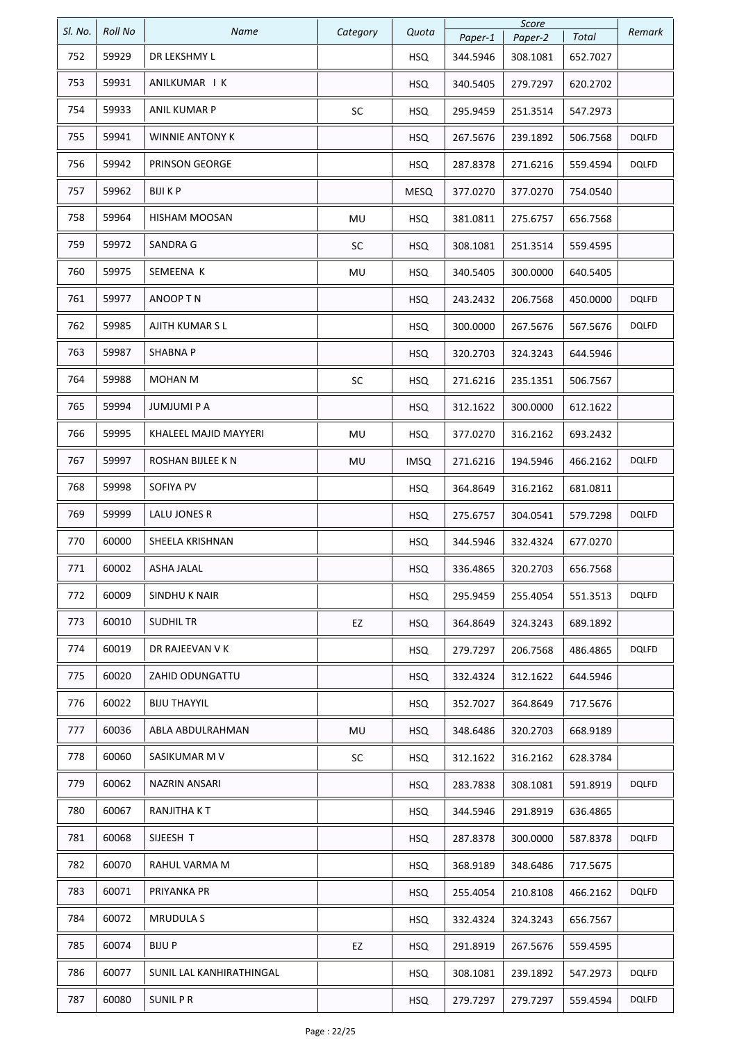| SI. No. | <b>Roll No</b> | <b>Name</b>              | Category | Quota       |                     | Score               |                   | Remark       |
|---------|----------------|--------------------------|----------|-------------|---------------------|---------------------|-------------------|--------------|
| 752     | 59929          | DR LEKSHMY L             |          | <b>HSQ</b>  | Paper-1<br>344.5946 | Paper-2<br>308.1081 | Total<br>652.7027 |              |
| 753     | 59931          | ANILKUMAR I K            |          | <b>HSQ</b>  | 340.5405            | 279.7297            | 620.2702          |              |
| 754     | 59933          | ANIL KUMAR P             | SC       | <b>HSQ</b>  | 295.9459            | 251.3514            | 547.2973          |              |
| 755     | 59941          | <b>WINNIE ANTONY K</b>   |          | <b>HSQ</b>  | 267.5676            | 239.1892            | 506.7568          | <b>DQLFD</b> |
| 756     | 59942          | PRINSON GEORGE           |          | <b>HSQ</b>  | 287.8378            | 271.6216            | 559.4594          | <b>DQLFD</b> |
| 757     | 59962          | BIJI K P                 |          | <b>MESQ</b> | 377.0270            | 377.0270            | 754.0540          |              |
| 758     | 59964          | HISHAM MOOSAN            | MU       | <b>HSQ</b>  | 381.0811            | 275.6757            | 656.7568          |              |
| 759     | 59972          | <b>SANDRA G</b>          | SC       | <b>HSQ</b>  | 308.1081            | 251.3514            | 559.4595          |              |
| 760     | 59975          | SEMEENA K                | MU       | <b>HSQ</b>  | 340.5405            | 300.0000            | 640.5405          |              |
| 761     | 59977          | ANOOP TN                 |          | <b>HSQ</b>  | 243.2432            | 206.7568            | 450.0000          | <b>DQLFD</b> |
| 762     | 59985          | AJITH KUMAR S L          |          | <b>HSQ</b>  | 300.0000            | 267.5676            | 567.5676          | <b>DQLFD</b> |
| 763     | 59987          | <b>SHABNA P</b>          |          | <b>HSQ</b>  | 320.2703            | 324.3243            | 644.5946          |              |
| 764     | 59988          | MOHAN M                  | SC       | <b>HSQ</b>  | 271.6216            | 235.1351            | 506.7567          |              |
| 765     | 59994          | <b>JUMJUMI P A</b>       |          | <b>HSQ</b>  | 312.1622            | 300.0000            | 612.1622          |              |
| 766     | 59995          | KHALEEL MAJID MAYYERI    | MU       | <b>HSQ</b>  | 377.0270            | 316.2162            | 693.2432          |              |
| 767     | 59997          | ROSHAN BIJLEE K N        | MU       | <b>IMSQ</b> | 271.6216            | 194.5946            | 466.2162          | DQLFD        |
| 768     | 59998          | SOFIYA PV                |          | <b>HSQ</b>  | 364.8649            | 316.2162            | 681.0811          |              |
| 769     | 59999          | LALU JONES R             |          | <b>HSQ</b>  | 275.6757            | 304.0541            | 579.7298          | DQLFD        |
| 770     | 60000          | SHEELA KRISHNAN          |          | <b>HSQ</b>  | 344.5946            | 332.4324            | 677.0270          |              |
| 771     | 60002          | ASHA JALAL               |          | <b>HSQ</b>  | 336.4865            | 320.2703            | 656.7568          |              |
| 772     | 60009          | SINDHU K NAIR            |          | <b>HSQ</b>  | 295.9459            | 255.4054            | 551.3513          | <b>DQLFD</b> |
| 773     | 60010          | <b>SUDHILTR</b>          | EZ       | <b>HSQ</b>  | 364.8649            | 324.3243            | 689.1892          |              |
| 774     | 60019          | DR RAJEEVAN V K          |          | <b>HSQ</b>  | 279.7297            | 206.7568            | 486.4865          | <b>DQLFD</b> |
| 775     | 60020          | ZAHID ODUNGATTU          |          | <b>HSQ</b>  | 332.4324            | 312.1622            | 644.5946          |              |
| 776     | 60022          | <b>BIJU THAYYIL</b>      |          | HSQ         | 352.7027            | 364.8649            | 717.5676          |              |
| 777     | 60036          | ABLA ABDULRAHMAN         | MU       | <b>HSQ</b>  | 348.6486            | 320.2703            | 668.9189          |              |
| 778     | 60060          | SASIKUMAR M V            | SC       | <b>HSQ</b>  | 312.1622            | 316.2162            | 628.3784          |              |
| 779     | 60062          | NAZRIN ANSARI            |          | <b>HSQ</b>  | 283.7838            | 308.1081            | 591.8919          | <b>DQLFD</b> |
| 780     | 60067          | RANJITHA KT              |          | <b>HSQ</b>  | 344.5946            | 291.8919            | 636.4865          |              |
| 781     | 60068          | SIJEESH T                |          | <b>HSQ</b>  | 287.8378            | 300.0000            | 587.8378          | DQLFD        |
| 782     | 60070          | RAHUL VARMA M            |          | <b>HSQ</b>  | 368.9189            | 348.6486            | 717.5675          |              |
| 783     | 60071          | PRIYANKA PR              |          | <b>HSQ</b>  | 255.4054            | 210.8108            | 466.2162          | <b>DQLFD</b> |
| 784     | 60072          | <b>MRUDULA S</b>         |          | <b>HSQ</b>  | 332.4324            | 324.3243            | 656.7567          |              |
| 785     | 60074          | BIJU P                   | EZ       | <b>HSQ</b>  | 291.8919            | 267.5676            | 559.4595          |              |
| 786     | 60077          | SUNIL LAL KANHIRATHINGAL |          | <b>HSQ</b>  | 308.1081            | 239.1892            | 547.2973          | DQLFD        |
| 787     | 60080          | <b>SUNIL PR</b>          |          | <b>HSQ</b>  | 279.7297            | 279.7297            | 559.4594          | <b>DQLFD</b> |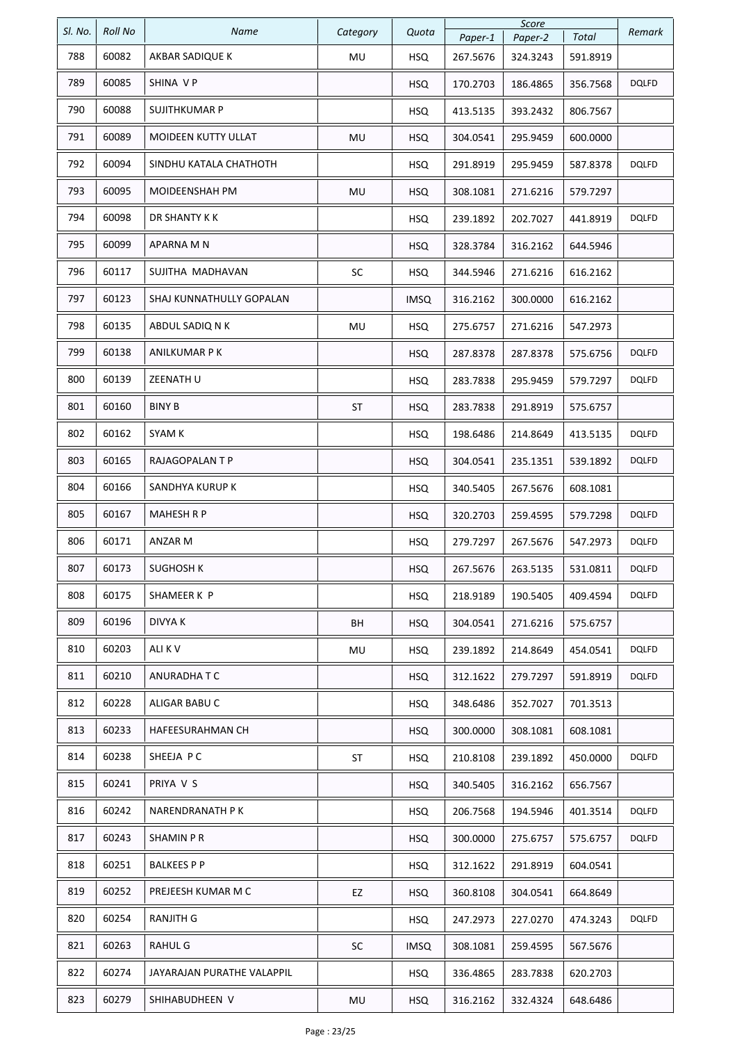| SI. No. | <b>Roll No</b> | Name                       | Category  | Quota       | Paper-1  | Score               | Total    | Remark       |
|---------|----------------|----------------------------|-----------|-------------|----------|---------------------|----------|--------------|
| 788     | 60082          | AKBAR SADIQUE K            | MU        | <b>HSQ</b>  | 267.5676 | Paper-2<br>324.3243 | 591.8919 |              |
| 789     | 60085          | SHINA V P                  |           | <b>HSQ</b>  | 170.2703 | 186.4865            | 356.7568 | <b>DQLFD</b> |
| 790     | 60088          | SUJITHKUMAR P              |           | HSQ.        | 413.5135 | 393.2432            | 806.7567 |              |
| 791     | 60089          | MOIDEEN KUTTY ULLAT        | MU        | <b>HSQ</b>  | 304.0541 | 295.9459            | 600.0000 |              |
| 792     | 60094          | SINDHU KATALA CHATHOTH     |           | <b>HSQ</b>  | 291.8919 | 295.9459            | 587.8378 | <b>DQLFD</b> |
| 793     | 60095          | MOIDEENSHAH PM             | MU        | <b>HSQ</b>  | 308.1081 | 271.6216            | 579.7297 |              |
| 794     | 60098          | DR SHANTY K K              |           | <b>HSQ</b>  | 239.1892 | 202.7027            | 441.8919 | <b>DQLFD</b> |
| 795     | 60099          | APARNA M N                 |           | <b>HSQ</b>  | 328.3784 | 316.2162            | 644.5946 |              |
| 796     | 60117          | SUJITHA MADHAVAN           | SC        | <b>HSQ</b>  | 344.5946 | 271.6216            | 616.2162 |              |
| 797     | 60123          | SHAJ KUNNATHULLY GOPALAN   |           | <b>IMSQ</b> | 316.2162 | 300.0000            | 616.2162 |              |
| 798     | 60135          | ABDUL SADIQ N K            | MU        | <b>HSQ</b>  | 275.6757 | 271.6216            | 547.2973 |              |
| 799     | 60138          | ANILKUMAR P K              |           | <b>HSQ</b>  | 287.8378 | 287.8378            | 575.6756 | <b>DQLFD</b> |
| 800     | 60139          | ZEENATH U                  |           | <b>HSQ</b>  | 283.7838 | 295.9459            | 579.7297 | <b>DQLFD</b> |
| 801     | 60160          | <b>BINY B</b>              | <b>ST</b> | <b>HSQ</b>  | 283.7838 | 291.8919            | 575.6757 |              |
| 802     | 60162          | SYAM K                     |           | <b>HSQ</b>  | 198.6486 | 214.8649            | 413.5135 | <b>DQLFD</b> |
| 803     | 60165          | RAJAGOPALAN T P            |           | <b>HSQ</b>  | 304.0541 | 235.1351            | 539.1892 | <b>DQLFD</b> |
| 804     | 60166          | SANDHYA KURUP K            |           | <b>HSQ</b>  | 340.5405 | 267.5676            | 608.1081 |              |
| 805     | 60167          | <b>MAHESH R P</b>          |           | <b>HSQ</b>  | 320.2703 | 259.4595            | 579.7298 | <b>DQLFD</b> |
| 806     | 60171          | ANZAR M                    |           | <b>HSQ</b>  | 279.7297 | 267.5676            | 547.2973 | <b>DQLFD</b> |
| 807     | 60173          | <b>SUGHOSH K</b>           |           | <b>HSQ</b>  | 267.5676 | 263.5135            | 531.0811 | <b>DQLFD</b> |
| 808     | 60175          | SHAMEER K P                |           | <b>HSQ</b>  | 218.9189 | 190.5405            | 409.4594 | <b>DQLFD</b> |
| 809     | 60196          | <b>DIVYA K</b>             | BH        | <b>HSQ</b>  | 304.0541 | 271.6216            | 575.6757 |              |
| 810     | 60203          | ALI K V                    | MU        | <b>HSQ</b>  | 239.1892 | 214.8649            | 454.0541 | <b>DQLFD</b> |
| 811     | 60210          | ANURADHA T C               |           | <b>HSQ</b>  | 312.1622 | 279.7297            | 591.8919 | <b>DQLFD</b> |
| 812     | 60228          | ALIGAR BABU C              |           | <b>HSQ</b>  | 348.6486 | 352.7027            | 701.3513 |              |
| 813     | 60233          | HAFEESURAHMAN CH           |           | <b>HSQ</b>  | 300.0000 | 308.1081            | 608.1081 |              |
| 814     | 60238          | SHEEJA PC                  | ST        | <b>HSQ</b>  | 210.8108 | 239.1892            | 450.0000 | <b>DQLFD</b> |
| 815     | 60241          | PRIYA V S                  |           | <b>HSQ</b>  | 340.5405 | 316.2162            | 656.7567 |              |
| 816     | 60242          | NARENDRANATH P K           |           | <b>HSQ</b>  | 206.7568 | 194.5946            | 401.3514 | DQLFD        |
| 817     | 60243          | SHAMIN P R                 |           | <b>HSQ</b>  | 300.0000 | 275.6757            | 575.6757 | <b>DQLFD</b> |
| 818     | 60251          | BALKEES P P                |           | HSQ         | 312.1622 | 291.8919            | 604.0541 |              |
| 819     | 60252          | PREJEESH KUMAR M C         | EZ        | <b>HSQ</b>  | 360.8108 | 304.0541            | 664.8649 |              |
| 820     | 60254          | <b>RANJITH G</b>           |           | <b>HSQ</b>  | 247.2973 | 227.0270            | 474.3243 | <b>DQLFD</b> |
| 821     | 60263          | RAHUL G                    | SC        | <b>IMSQ</b> | 308.1081 | 259.4595            | 567.5676 |              |
| 822     | 60274          | JAYARAJAN PURATHE VALAPPIL |           | <b>HSQ</b>  | 336.4865 | 283.7838            | 620.2703 |              |
| 823     | 60279          | SHIHABUDHEEN V             | MU        | HSQ         | 316.2162 | 332.4324            | 648.6486 |              |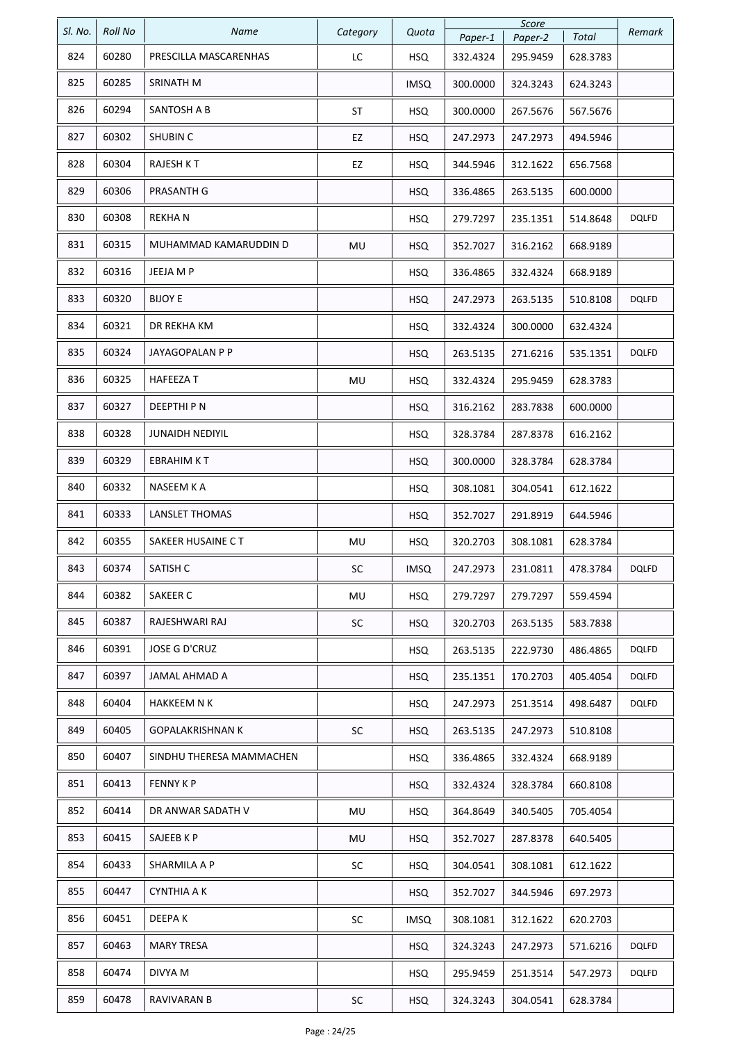| SI. No. | <b>Roll No</b> | Name                     | Category  | Quota       |                     | Score               |                   | Remark       |
|---------|----------------|--------------------------|-----------|-------------|---------------------|---------------------|-------------------|--------------|
| 824     | 60280          | PRESCILLA MASCARENHAS    | LC        | <b>HSQ</b>  | Paper-1<br>332.4324 | Paper-2<br>295.9459 | Total<br>628.3783 |              |
| 825     | 60285          | SRINATH M                |           | <b>IMSQ</b> | 300.0000            | 324.3243            | 624.3243          |              |
| 826     | 60294          | SANTOSH A B              | <b>ST</b> | HSQ.        | 300.0000            | 267.5676            | 567.5676          |              |
| 827     | 60302          | <b>SHUBIN C</b>          | EZ        | <b>HSQ</b>  | 247.2973            | 247.2973            | 494.5946          |              |
| 828     | 60304          | <b>RAJESH KT</b>         | EZ        | <b>HSQ</b>  | 344.5946            | 312.1622            | 656.7568          |              |
| 829     | 60306          | PRASANTH G               |           | <b>HSQ</b>  | 336.4865            | 263.5135            | 600.0000          |              |
| 830     | 60308          | <b>REKHAN</b>            |           | <b>HSQ</b>  | 279.7297            | 235.1351            | 514.8648          | <b>DQLFD</b> |
| 831     | 60315          | MUHAMMAD KAMARUDDIN D    | MU        | <b>HSQ</b>  | 352.7027            | 316.2162            | 668.9189          |              |
| 832     | 60316          | JEEJA M P                |           | <b>HSQ</b>  | 336.4865            | 332.4324            | 668.9189          |              |
| 833     | 60320          | <b>BIJOY E</b>           |           | <b>HSQ</b>  | 247.2973            | 263.5135            | 510.8108          | <b>DQLFD</b> |
| 834     | 60321          | DR REKHA KM              |           | <b>HSQ</b>  | 332.4324            | 300.0000            | 632.4324          |              |
| 835     | 60324          | JAYAGOPALAN P P          |           | <b>HSQ</b>  | 263.5135            | 271.6216            | 535.1351          | DQLFD        |
| 836     | 60325          | <b>HAFEEZAT</b>          | MU        | <b>HSQ</b>  | 332.4324            | 295.9459            | 628.3783          |              |
| 837     | 60327          | DEEPTHI P N              |           |             |                     |                     | 600.0000          |              |
| 838     | 60328          |                          |           | <b>HSQ</b>  | 316.2162            | 283.7838            |                   |              |
|         | 60329          | <b>JUNAIDH NEDIYIL</b>   |           | <b>HSQ</b>  | 328.3784            | 287.8378            | 616.2162          |              |
| 839     |                | <b>EBRAHIM KT</b>        |           | <b>HSQ</b>  | 300.0000            | 328.3784            | 628.3784          |              |
| 840     | 60332          | NASEEM K A               |           | <b>HSQ</b>  | 308.1081            | 304.0541            | 612.1622          |              |
| 841     | 60333          | <b>LANSLET THOMAS</b>    |           | <b>HSQ</b>  | 352.7027            | 291.8919            | 644.5946          |              |
| 842     | 60355          | SAKEER HUSAINE CT        | MU        | <b>HSQ</b>  | 320.2703            | 308.1081            | 628.3784          |              |
| 843     | 60374          | SATISH <sub>C</sub>      | SC        | <b>IMSQ</b> | 247.2973            | 231.0811            | 478.3784          | <b>DQLFD</b> |
| 844     | 60382          | SAKEER C                 | MU        | <b>HSQ</b>  | 279.7297            | 279.7297            | 559.4594          |              |
| 845     | 60387          | RAJESHWARI RAJ           | SC        | <b>HSQ</b>  | 320.2703            | 263.5135            | 583.7838          |              |
| 846     | 60391          | JOSE G D'CRUZ            |           | <b>HSQ</b>  | 263.5135            | 222.9730            | 486.4865          | <b>DQLFD</b> |
| 847     | 60397          | <b>JAMAL AHMAD A</b>     |           | <b>HSQ</b>  | 235.1351            | 170.2703            | 405.4054          | <b>DQLFD</b> |
| 848     | 60404          | HAKKEEM N K              |           | <b>HSQ</b>  | 247.2973            | 251.3514            | 498.6487          | <b>DQLFD</b> |
| 849     | 60405          | <b>GOPALAKRISHNAN K</b>  | SC        | <b>HSQ</b>  | 263.5135            | 247.2973            | 510.8108          |              |
| 850     | 60407          | SINDHU THERESA MAMMACHEN |           | <b>HSQ</b>  | 336.4865            | 332.4324            | 668.9189          |              |
| 851     | 60413          | <b>FENNY KP</b>          |           | <b>HSQ</b>  | 332.4324            | 328.3784            | 660.8108          |              |
| 852     | 60414          | DR ANWAR SADATH V        | MU        | <b>HSQ</b>  | 364.8649            | 340.5405            | 705.4054          |              |
| 853     | 60415          | SAJEEB K P               | MU        | <b>HSQ</b>  | 352.7027            | 287.8378            | 640.5405          |              |
| 854     | 60433          | SHARMILA A P             | SC        | HSQ         | 304.0541            | 308.1081            | 612.1622          |              |
| 855     | 60447          | <b>CYNTHIA A K</b>       |           | <b>HSQ</b>  | 352.7027            | 344.5946            | 697.2973          |              |
| 856     | 60451          | DEEPA K                  | SC        | <b>IMSQ</b> | 308.1081            | 312.1622            | 620.2703          |              |
| 857     | 60463          | MARY TRESA               |           | <b>HSQ</b>  | 324.3243            | 247.2973            | 571.6216          | <b>DQLFD</b> |
| 858     | 60474          | DIVYA M                  |           | <b>HSQ</b>  | 295.9459            | 251.3514            | 547.2973          | <b>DQLFD</b> |
| 859     | 60478          | RAVIVARAN B              | SC        | <b>HSQ</b>  | 324.3243            | 304.0541            | 628.3784          |              |